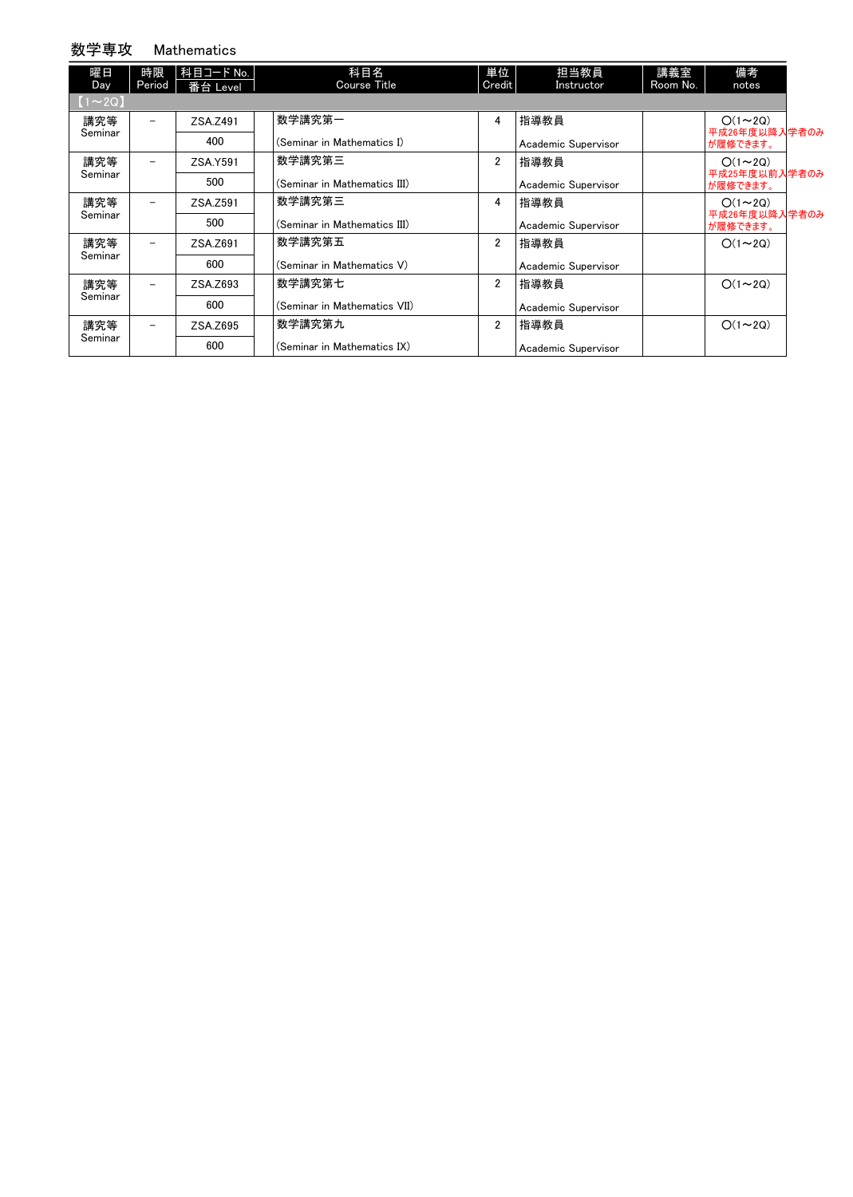#### 数学専攻 Mathematics

| 曜日<br><b>Day</b> | 時限<br>Period             | 科目コード No.<br>番台 Level | 科目名<br>Course Title          | 単位<br>Credit   | 担当教員<br>Instructor  | 講義室<br>Room No. | 備考<br>notes               |  |
|------------------|--------------------------|-----------------------|------------------------------|----------------|---------------------|-----------------|---------------------------|--|
| $(1\sim 2Q)$     |                          |                       |                              |                |                     |                 |                           |  |
| 講究等              | -                        | ZSA.Z491              | 数学講究第一                       | 4              | 指導教員                |                 | $O(1\sim 2Q)$             |  |
| Seminar          |                          | 400                   | (Seminar in Mathematics I)   |                | Academic Supervisor |                 | 平成26年度以降入学者のみ<br>が履修できます。 |  |
| 講究等              | -                        | ZSA.Y591              | 数学講究第三                       | $\overline{2}$ | 指導教員                |                 | $O(1\sim 2Q)$             |  |
| Seminar          |                          | 500                   | (Seminar in Mathematics III) |                | Academic Supervisor |                 | 平成25年度以前入学者のみ<br>が履修できます。 |  |
| 講究等              | -                        | ZSA.Z591              | 数学講究第三                       | 4              | 指導教員                |                 | $O(1\sim 2Q)$             |  |
| Seminar          |                          | 500                   | (Seminar in Mathematics III) |                | Academic Supervisor |                 | 平成26年度以降入学者のみ<br>が履修できます。 |  |
| 講究等              | $\overline{\phantom{0}}$ | ZSA.Z691              | 数学講究第五                       | $\overline{2}$ | 指導教員                |                 | $O(1\sim 2Q)$             |  |
| Seminar          |                          | 600                   | (Seminar in Mathematics V)   |                | Academic Supervisor |                 |                           |  |
| 講究等              | -                        | ZSA.Z693              | 数学講究第七                       | $\overline{2}$ | 指導教員                |                 | $O(1\sim 2Q)$             |  |
| Seminar          |                          | 600                   | (Seminar in Mathematics VII) |                | Academic Supervisor |                 |                           |  |
| 講究等              | -                        | ZSA.Z695              | 数学講究第九                       | $\overline{2}$ | 指導教員                |                 | $O(1\sim 2Q)$             |  |
| Seminar          |                          | 600                   | (Seminar in Mathematics IX)  |                | Academic Supervisor |                 |                           |  |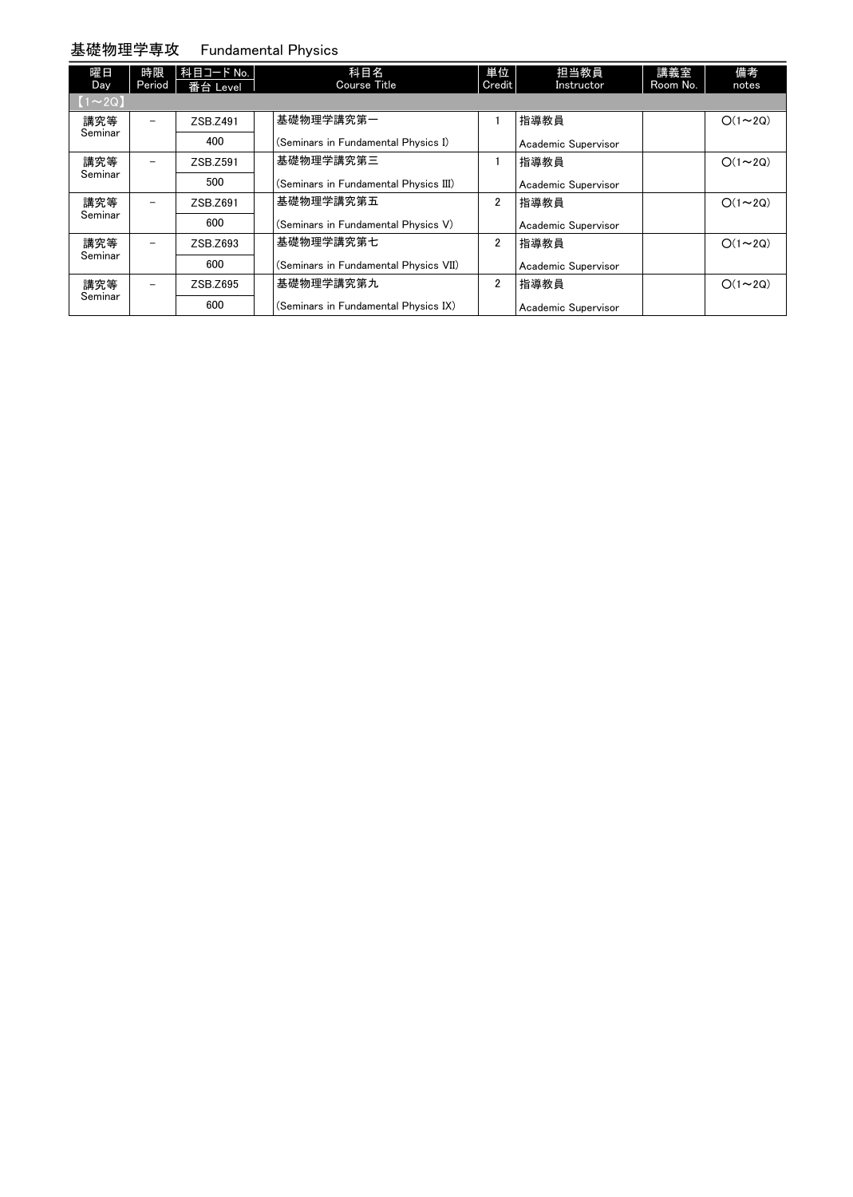#### 基礎物理学専攻 Fundamental Physics

| 曜日<br>Day     | 時限<br>Period             | 科目コード No.<br>番台 Level | 科目名<br><b>Course Title</b>            | 単位<br>Credit   | 担当教員<br>Instructor  | 講義室<br>Room No. | 備考<br>notes   |
|---------------|--------------------------|-----------------------|---------------------------------------|----------------|---------------------|-----------------|---------------|
| $[1 \sim 2Q]$ |                          |                       |                                       |                |                     |                 |               |
| 講究等           | $\overline{\phantom{a}}$ | ZSB.Z491              | 基礎物理学講究第一                             |                | 指導教員                |                 | $O(1\sim 2Q)$ |
| Seminar       |                          | 400                   | (Seminars in Fundamental Physics I)   |                | Academic Supervisor |                 |               |
| 講究等           | $\overline{\phantom{a}}$ | ZSB.Z591              | 基礎物理学講究第三                             |                | 指導教員                |                 | $O(1\sim 2Q)$ |
| Seminar       |                          | 500                   | (Seminars in Fundamental Physics III) |                | Academic Supervisor |                 |               |
| 講究等           | $\overline{\phantom{a}}$ | ZSB.Z691              | 基礎物理学講究第五                             | 2              | 指導教員                |                 | $O(1\sim 2Q)$ |
| Seminar       |                          | 600                   | (Seminars in Fundamental Physics V)   |                | Academic Supervisor |                 |               |
| 講究等           |                          | ZSB.Z693              | 基礎物理学講究第七                             | $\overline{2}$ | 指導教員                |                 | $O(1\sim 2Q)$ |
| Seminar       |                          | 600                   | (Seminars in Fundamental Physics VII) |                | Academic Supervisor |                 |               |
| 講究等           |                          | ZSB.Z695              | 基礎物理学講究第九                             | $\overline{2}$ | 指導教員                |                 | $O(1\sim 2Q)$ |
| Seminar       |                          | 600                   | (Seminars in Fundamental Physics IX)  |                | Academic Supervisor |                 |               |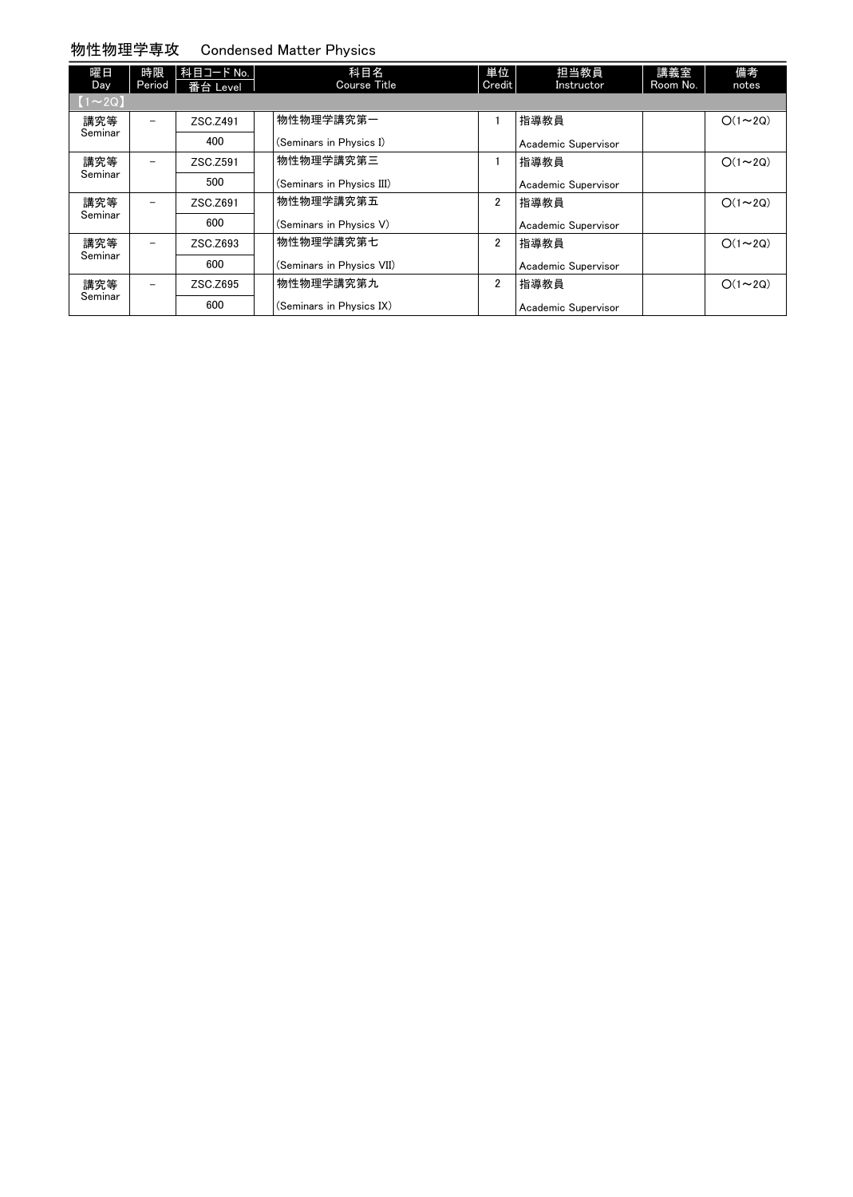#### 物性物理学専攻 Condensed Matter Physics

| 曜日<br>Day     | 時限<br>Period             | 科目コード No.<br>番台 Level | 科目名<br><b>Course Title</b> | 単位<br>Credit   | 担当教員<br>Instructor  | 講義室<br>Room No. | 備考<br>notes   |
|---------------|--------------------------|-----------------------|----------------------------|----------------|---------------------|-----------------|---------------|
| $[1 \sim 2Q]$ |                          |                       |                            |                |                     |                 |               |
| 講究等           | $\overline{\phantom{a}}$ | ZSC.Z491              | 物性物理学講究第一                  |                | 指導教員                |                 | $O(1\sim 2Q)$ |
| Seminar       |                          | 400                   | (Seminars in Physics I)    |                | Academic Supervisor |                 |               |
| 講究等           | $\overline{\phantom{a}}$ | ZSC.Z591              | 物性物理学講究第三                  |                | 指導教員                |                 | $O(1\sim 2Q)$ |
| Seminar       |                          | 500                   | (Seminars in Physics III)  |                | Academic Supervisor |                 |               |
| 講究等           | $\overline{\phantom{a}}$ | ZSC.Z691              | 物性物理学講究第五                  | $\overline{2}$ | 指導教員                |                 | $O(1\sim 2Q)$ |
| Seminar       |                          | 600                   | (Seminars in Physics V)    |                | Academic Supervisor |                 |               |
| 講究等           |                          | ZSC.Z693              | 物性物理学講究第七                  | $\overline{2}$ | 指導教員                |                 | $O(1\sim 2Q)$ |
| Seminar       |                          | 600                   | (Seminars in Physics VII)  |                | Academic Supervisor |                 |               |
| 講究等           | $\overline{\phantom{m}}$ | ZSC.Z695              | 物性物理学講究第九                  | $\overline{2}$ | 指導教員                |                 | $O(1\sim 2Q)$ |
| Seminar       |                          | 600                   | (Seminars in Physics IX)   |                | Academic Supervisor |                 |               |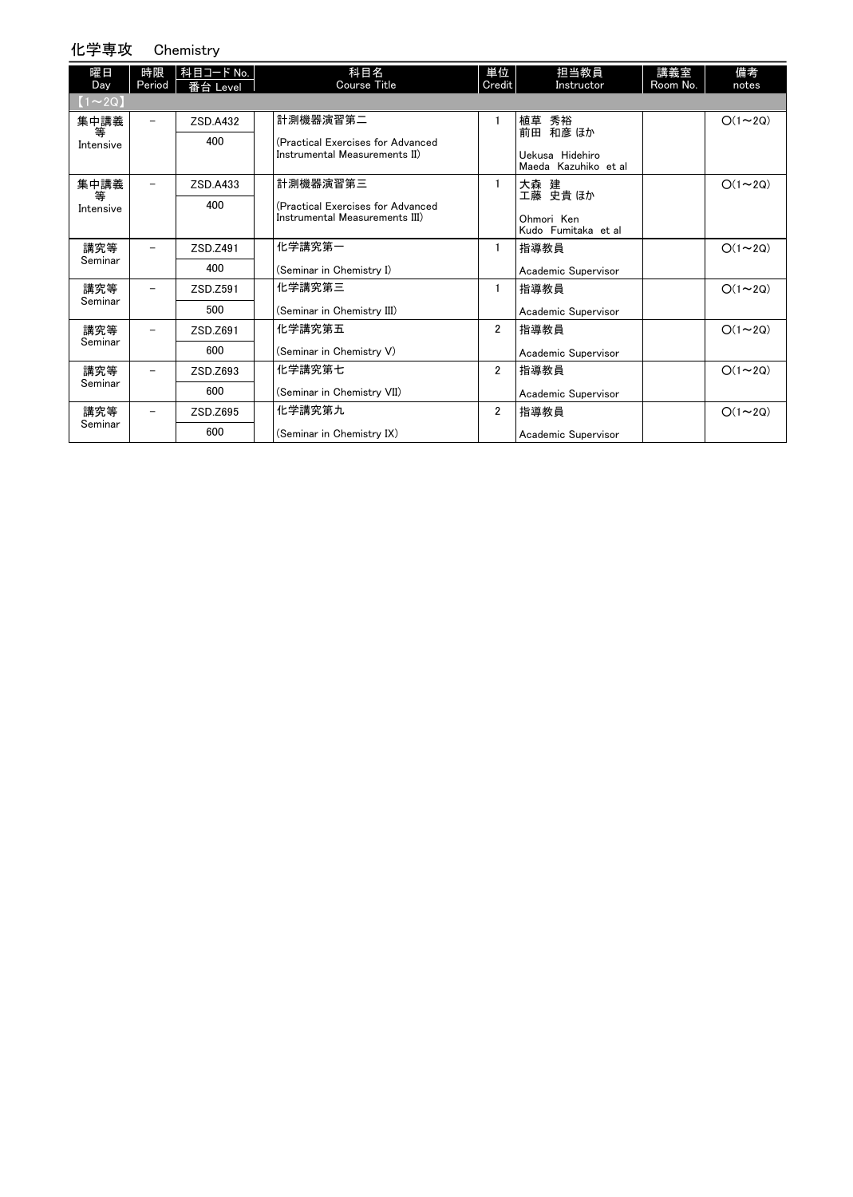### 化学専攻 Chemistry

| 曜日<br>Day      | 時限<br>Period | 科目コード No.<br>番台 Level | 科目名<br><b>Course Title</b>                                          | 単位<br>Credit   | 担当教員<br>Instructor                      | 講義室<br>Room No. | 備考<br>notes   |
|----------------|--------------|-----------------------|---------------------------------------------------------------------|----------------|-----------------------------------------|-----------------|---------------|
| $(1\sim 2Q)$   |              |                       |                                                                     |                |                                         |                 |               |
| 集中講義           | -            | ZSD.A432              | 計測機器演習第二                                                            | 1              | 植草 秀裕<br>前田 和彦 ほか                       |                 | $O(1\sim 2Q)$ |
| 等<br>Intensive |              | 400                   | (Practical Exercises for Advanced<br>Instrumental Measurements II)  |                | Uekusa Hidehiro<br>Maeda Kazuhiko et al |                 |               |
| 集中講義           |              | ZSD.A433              | 計測機器演習第三                                                            | 1              | 大森 建<br>エ藤 史貴ほか                         |                 | $O(1\sim 2Q)$ |
| 等<br>Intensive |              | 400                   | (Practical Exercises for Advanced<br>Instrumental Measurements III) |                | Ohmori Ken<br>Kudo Fumitaka et al       |                 |               |
| 講究等            |              | ZSD.Z491              | 化学講究第一                                                              | 1              | 指導教員                                    |                 | $O(1\sim 2Q)$ |
| Seminar        |              | 400                   | (Seminar in Chemistry I)                                            |                | Academic Supervisor                     |                 |               |
| 講究等            |              | ZSD.Z591              | 化学講究第三                                                              | 1              | 指導教員                                    |                 | $O(1\sim 2Q)$ |
| Seminar        |              | 500                   | (Seminar in Chemistry III)                                          |                | Academic Supervisor                     |                 |               |
| 講究等            |              | ZSD.Z691              | 化学講究第五                                                              | 2              | 指導教員                                    |                 | $O(1\sim 2Q)$ |
| Seminar        |              | 600                   | (Seminar in Chemistry V)                                            |                | Academic Supervisor                     |                 |               |
| 講究等            |              | ZSD.Z693              | 化学講究第七                                                              | $\overline{2}$ | 指導教員                                    |                 | $O(1\sim 2Q)$ |
| Seminar        |              | 600                   | (Seminar in Chemistry VII)                                          |                | Academic Supervisor                     |                 |               |
| 講究等            |              | ZSD.Z695              | 化学講究第九                                                              | $\overline{2}$ | 指導教員                                    |                 | $O(1\sim 2Q)$ |
| Seminar        |              | 600                   | (Seminar in Chemistry IX)                                           |                | Academic Supervisor                     |                 |               |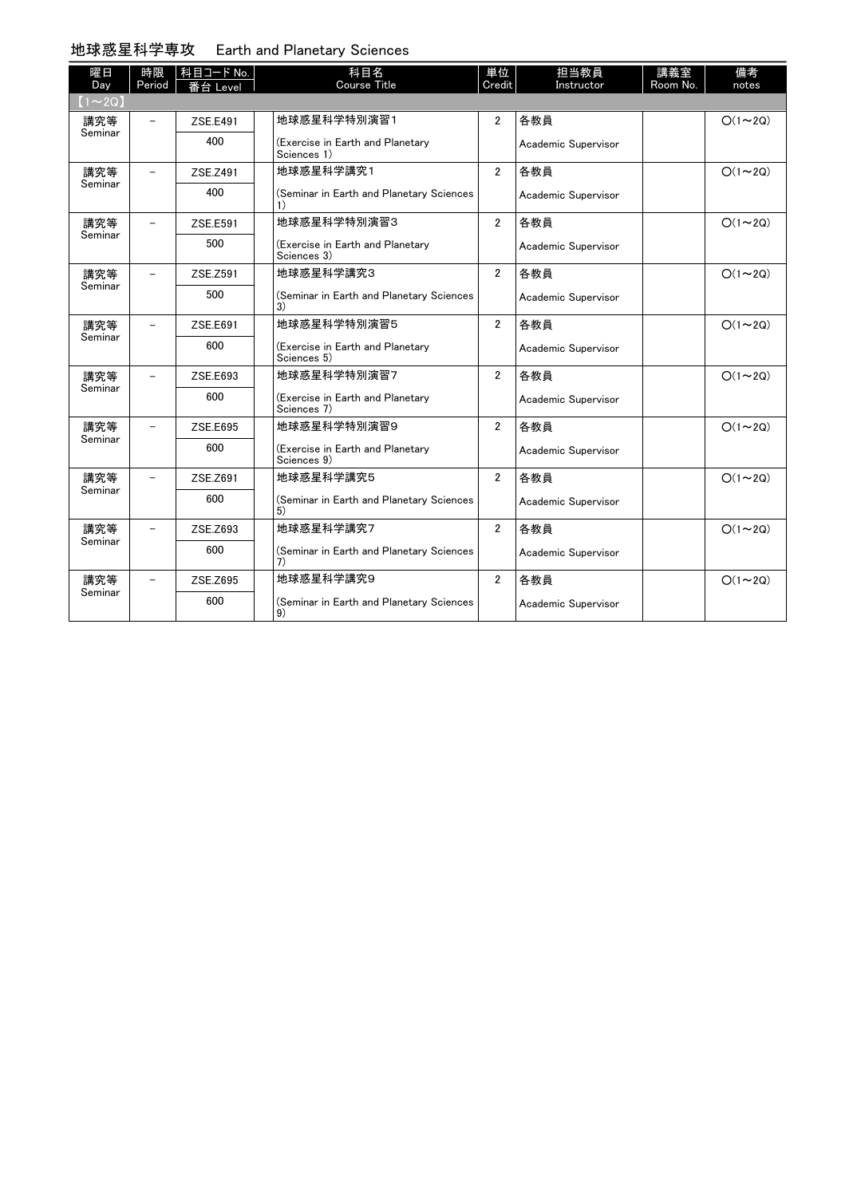# 地球惑星科学専攻 Earth and Planetary Sciences

| 曜日<br>Day    | 時限<br>Period | 科目コード No.<br>番台 Level | 科目名<br>Course Title                             | 単位<br>Credit   | 担当教員<br>Instructor  | 講義室<br>Room No. | 備考<br>notes   |
|--------------|--------------|-----------------------|-------------------------------------------------|----------------|---------------------|-----------------|---------------|
| $(1\sim 2Q)$ |              |                       |                                                 |                |                     |                 |               |
| 講究等          |              | ZSE.E491              | 地球惑星科学特別演習1                                     | $\overline{2}$ | 各教員                 |                 | $O(1\sim 2Q)$ |
| Seminar      |              | 400                   | (Exercise in Earth and Planetary<br>Sciences 1) |                | Academic Supervisor |                 |               |
| 講究等          |              | ZSE.Z491              | 地球惑星科学講究1                                       | $\overline{2}$ | 各教員                 |                 | $O(1\sim 2Q)$ |
| Seminar      |              | 400                   | (Seminar in Earth and Planetary Sciences        |                | Academic Supervisor |                 |               |
| 講究等          |              | ZSE.E591              | 地球惑星科学特別演習3                                     | $\overline{2}$ | 各教員                 |                 | $O(1\sim 2Q)$ |
| Seminar      |              | 500                   | (Exercise in Earth and Planetary<br>Sciences 3) |                | Academic Supervisor |                 |               |
| 講究等          |              | ZSE.Z591              | 地球惑星科学講究3                                       | $\overline{2}$ | 各教員                 |                 | $O(1\sim 2Q)$ |
| Seminar      |              | 500                   | (Seminar in Earth and Planetary Sciences<br>3)  |                | Academic Supervisor |                 |               |
| 講究等          |              | ZSE.E691              | 地球惑星科学特別演習5                                     | $\overline{2}$ | 各教員                 |                 | $O(1\sim 2Q)$ |
| Seminar      |              | 600                   | (Exercise in Earth and Planetary<br>Sciences 5) |                | Academic Supervisor |                 |               |
| 講究等          |              | ZSE.E693              | 地球惑星科学特別演習7                                     | $\overline{2}$ | 各教員                 |                 | $O(1\sim 2Q)$ |
| Seminar      |              | 600                   | (Exercise in Earth and Planetary<br>Sciences 7) |                | Academic Supervisor |                 |               |
| 講究等          |              | ZSE.E695              | 地球惑星科学特別演習9                                     | $\overline{2}$ | 各教員                 |                 | $O(1\sim 2Q)$ |
| Seminar      |              | 600                   | (Exercise in Earth and Planetary<br>Sciences 9) |                | Academic Supervisor |                 |               |
| 講究等          |              | ZSE.Z691              | 地球惑星科学講究5                                       | $\overline{2}$ | 各教員                 |                 | $O(1\sim 2Q)$ |
| Seminar      |              | 600                   | (Seminar in Earth and Planetary Sciences<br>5)  |                | Academic Supervisor |                 |               |
| 講究等          |              | ZSE.Z693              | 地球惑星科学講究7                                       | $\overline{2}$ | 各教員                 |                 | $O(1\sim 2Q)$ |
| Seminar      |              | 600                   | (Seminar in Earth and Planetary Sciences<br>7)  |                | Academic Supervisor |                 |               |
| 講究等          |              | ZSE.Z695              | 地球惑星科学講究9                                       | $\overline{2}$ | 各教員                 |                 | $O(1\sim 2Q)$ |
| Seminar      |              | 600                   | (Seminar in Earth and Planetary Sciences<br>9)  |                | Academic Supervisor |                 |               |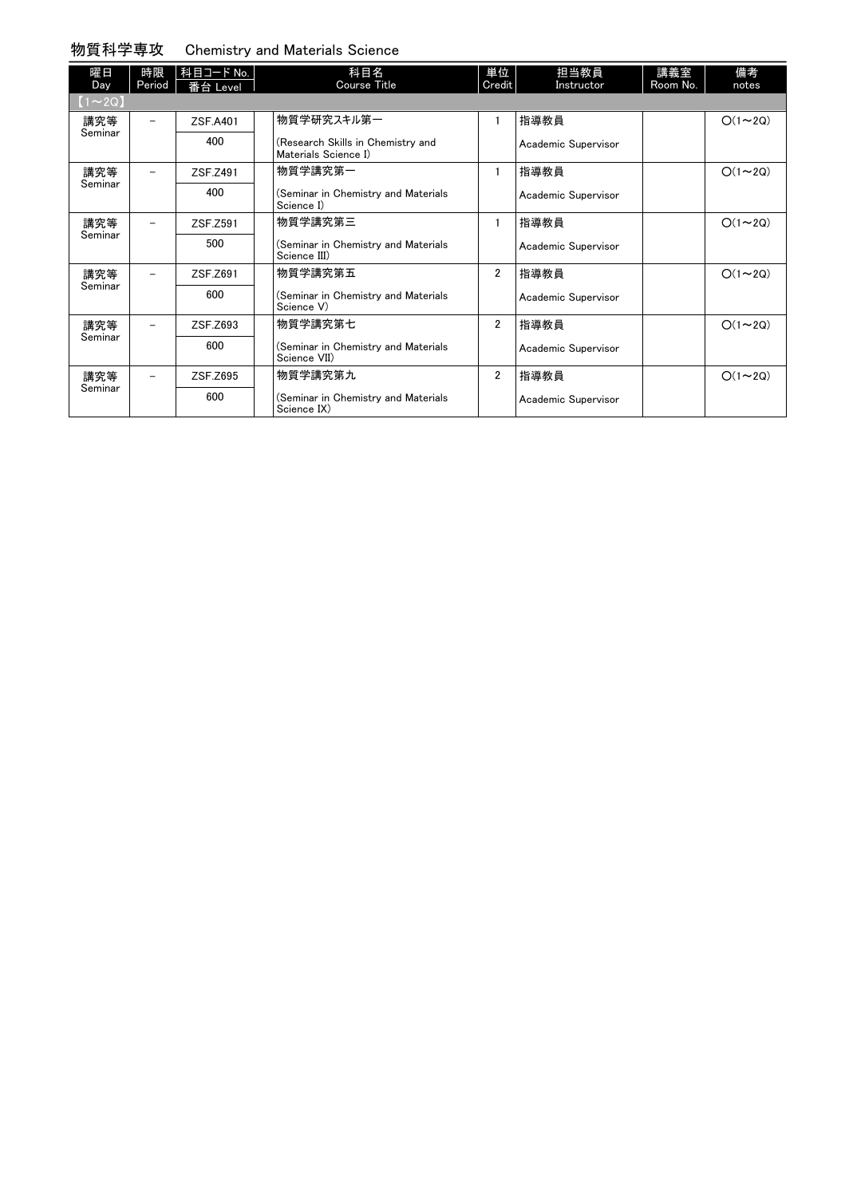## 物質科学専攻 Chemistry and Materials Science

| 曜日<br>Day      | 時限<br>Period | 科目コード No.<br>番台 Level | 科目名<br><b>Course Title</b>                                | 単位<br>Credit   | 担当教員<br>Instructor  | 講義室<br>Room No. | 備考<br>notes   |
|----------------|--------------|-----------------------|-----------------------------------------------------------|----------------|---------------------|-----------------|---------------|
| $(1\sim 2Q)$   |              |                       |                                                           |                |                     |                 |               |
| 講究等<br>Seminar |              | ZSF.A401              | 物質学研究スキル第一                                                | 1              | 指導教員                |                 | $O(1\sim 2Q)$ |
|                |              | 400                   | (Research Skills in Chemistry and<br>Materials Science I) |                | Academic Supervisor |                 |               |
| 講究等            |              | ZSF.Z491              | 物質学講究第一                                                   | 1              | 指導教員                |                 | $O(1\sim 2Q)$ |
| Seminar        |              | 400                   | (Seminar in Chemistry and Materials<br>Science I)         |                | Academic Supervisor |                 |               |
| 講究等            |              | ZSF.Z591              | 物質学講究第三                                                   | $\mathbf{1}$   | 指導教員                |                 | $O(1\sim 2Q)$ |
| Seminar        |              | 500                   | (Seminar in Chemistry and Materials<br>Science III)       |                | Academic Supervisor |                 |               |
| 講究等            |              | ZSF.Z691              | 物質学講究第五                                                   | $\overline{2}$ | 指導教員                |                 | $O(1\sim 2Q)$ |
| Seminar        |              | 600                   | (Seminar in Chemistry and Materials<br>Science V)         |                | Academic Supervisor |                 |               |
| 講究等            |              | ZSF.Z693              | 物質学講究第七                                                   | $\overline{2}$ | 指導教員                |                 | $O(1\sim 2Q)$ |
| Seminar        |              | 600                   | (Seminar in Chemistry and Materials<br>Science VII)       |                | Academic Supervisor |                 |               |
| 講究等            |              | ZSF.Z695              | 物質学講究第九                                                   | $\overline{2}$ | 指導教員                |                 | $O(1\sim 2Q)$ |
| Seminar        |              | 600                   | (Seminar in Chemistry and Materials<br>Science IX)        |                | Academic Supervisor |                 |               |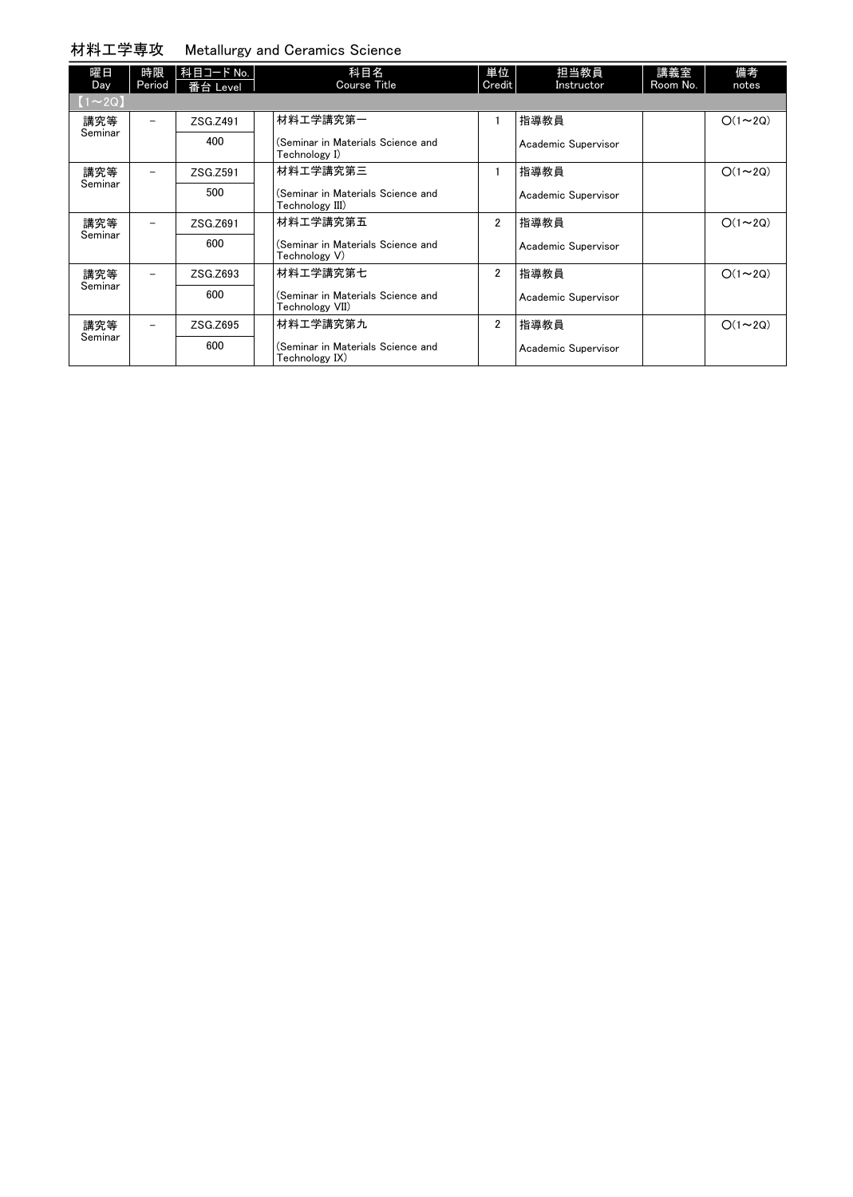## 材料工学専攻 Metallurgy and Ceramics Science

| 曜日<br>Day     | 時限<br>Period             | 科目コード No.<br>番台 Level | 科目名<br>Course Title                                  | 単位<br>Credit   | 担当教員<br>Instructor  | 講義室<br>Room No. | 備考<br>notes   |
|---------------|--------------------------|-----------------------|------------------------------------------------------|----------------|---------------------|-----------------|---------------|
| $[1 \sim 2Q]$ |                          |                       |                                                      |                |                     |                 |               |
| 講究等           | $\qquad \qquad -$        | ZSG.Z491              | 材料エ学講究第一                                             |                | 指導教員                |                 | $O(1\sim 2Q)$ |
| Seminar       |                          | 400                   | (Seminar in Materials Science and<br>Technology I)   |                | Academic Supervisor |                 |               |
| 講究等           |                          | ZSG.Z591              | 材料エ学講究第三                                             |                | 指導教員                |                 | $O(1\sim 2Q)$ |
| Seminar       |                          | 500                   | (Seminar in Materials Science and<br>Technology III) |                | Academic Supervisor |                 |               |
| 講究等           |                          | ZSG.Z691              | 材料工学講究第五                                             | $\overline{2}$ | 指導教員                |                 | $O(1\sim 2Q)$ |
| Seminar       |                          | 600                   | (Seminar in Materials Science and<br>Technology V)   |                | Academic Supervisor |                 |               |
| 講究等           | $\qquad \qquad -$        | ZSG.Z693              | 材料工学講究第七                                             | $\overline{2}$ | 指導教員                |                 | $O(1\sim 2Q)$ |
| Seminar       |                          | 600                   | (Seminar in Materials Science and<br>Technology VII) |                | Academic Supervisor |                 |               |
| 講究等           | $\overline{\phantom{0}}$ | ZSG.Z695              | 材料工学講究第九                                             | $\overline{2}$ | 指導教員                |                 | $O(1\sim 2Q)$ |
| Seminar       |                          | 600                   | (Seminar in Materials Science and<br>Technology IX)  |                | Academic Supervisor |                 |               |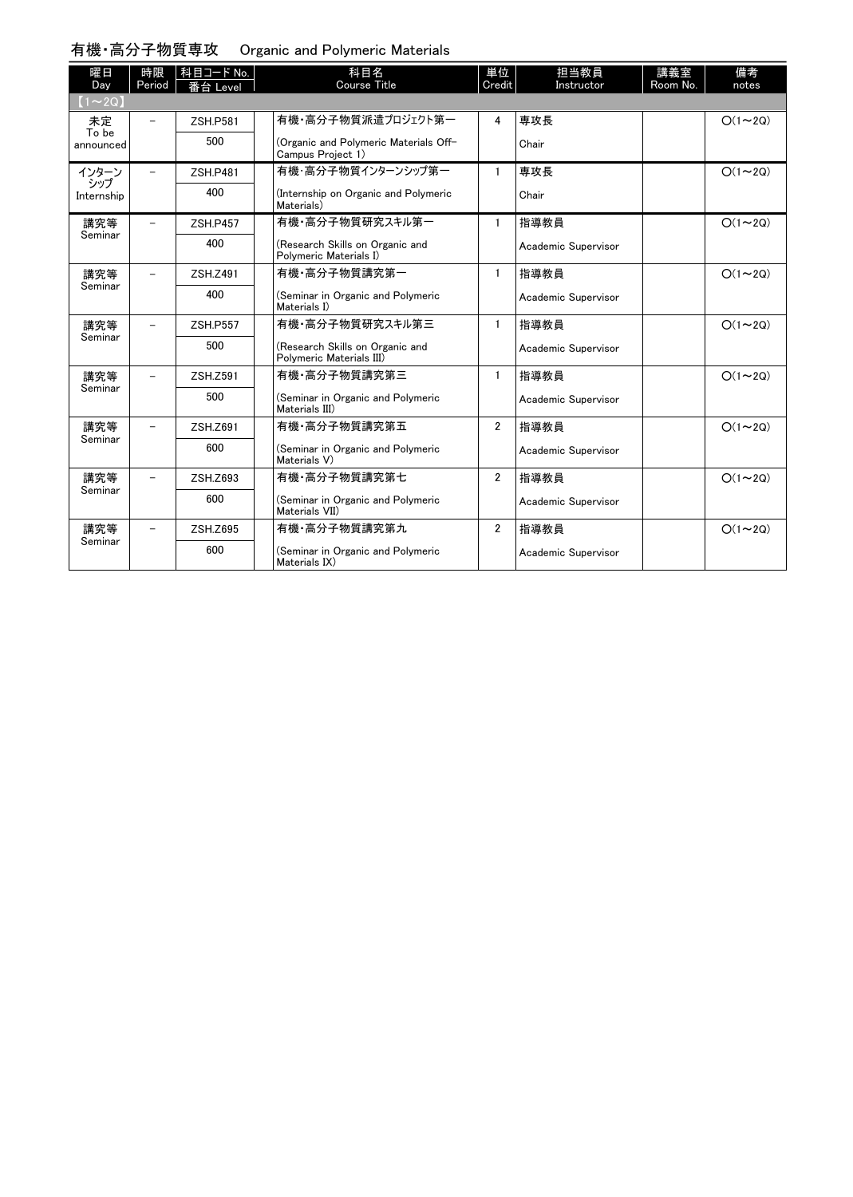### 有機・高分子物質専攻 Organic and Polymeric Materials

| 曜日<br>Day          | 時限<br>Period             | 科目コード No.<br>番台 Level | 科目名<br>Course Title                                         | 単位<br>Credit   | 担当教員<br>Instructor  | 講義室<br>Room No. | 備考<br>notes   |
|--------------------|--------------------------|-----------------------|-------------------------------------------------------------|----------------|---------------------|-----------------|---------------|
| $(1\sim 2Q)$       |                          |                       |                                                             |                |                     |                 |               |
| 未定                 | $\overline{\phantom{0}}$ | <b>ZSH.P581</b>       | 有機・高分子物質派遣プロジェクト第一                                          | 4              | 専攻長                 |                 | $O(1\sim 2Q)$ |
| To be<br>announced |                          | 500                   | (Organic and Polymeric Materials Off-<br>Campus Project 1)  |                | Chair               |                 |               |
| インターン              |                          | <b>ZSH.P481</b>       | 有機・高分子物質インターンシップ第一                                          | 1              | 専攻長                 |                 | $O(1\sim 2Q)$ |
| シップ<br>Internship  |                          | 400                   | (Internship on Organic and Polymeric<br>Materials)          |                | Chair               |                 |               |
| 講究等                |                          | <b>ZSH.P457</b>       | 有機・高分子物質研究スキル第一                                             | $\mathbf{1}$   | 指導教員                |                 | $O(1\sim 2Q)$ |
| Seminar            |                          | 400                   | (Research Skills on Organic and<br>Polymeric Materials I)   |                | Academic Supervisor |                 |               |
| 講究等                |                          | ZSH.Z491              | 有機 高分子物質講究第一                                                | $\mathbf{1}$   | 指導教員                |                 | $O(1\sim 2Q)$ |
| Seminar            |                          | 400                   | (Seminar in Organic and Polymeric<br>Materials I)           |                | Academic Supervisor |                 |               |
| 講究等                | -                        | <b>ZSH.P557</b>       | 有機・高分子物質研究スキル第三                                             | 1              | 指導教員                |                 | $O(1\sim 2Q)$ |
| Seminar            |                          | 500                   | (Research Skills on Organic and<br>Polymeric Materials III) |                | Academic Supervisor |                 |               |
| 講究等                |                          | <b>ZSH.Z591</b>       | 有機 高分子物質講究第三                                                | $\mathbf{1}$   | 指導教員                |                 | $O(1\sim 2Q)$ |
| Seminar            |                          | 500                   | (Seminar in Organic and Polymeric<br>Materials III)         |                | Academic Supervisor |                 |               |
| 講究等                | -                        | ZSH.Z691              | 有機·高分子物質講究第五                                                | $\overline{2}$ | 指導教員                |                 | $O(1\sim 2Q)$ |
| Seminar            |                          | 600                   | (Seminar in Organic and Polymeric<br>Materials V)           |                | Academic Supervisor |                 |               |
| 講究等                |                          | ZSH.Z693              | 有機 高分子物質講究第七                                                | $\overline{2}$ | 指導教員                |                 | $O(1\sim 2Q)$ |
| Seminar            |                          | 600                   | (Seminar in Organic and Polymeric<br>Materials VII)         |                | Academic Supervisor |                 |               |
| 講究等                |                          | ZSH.Z695              | 有機 高分子物質講究第九                                                | $\overline{2}$ | 指導教員                |                 | $O(1\sim 2Q)$ |
| Seminar            |                          | 600                   | (Seminar in Organic and Polymeric<br>Materials IX)          |                | Academic Supervisor |                 |               |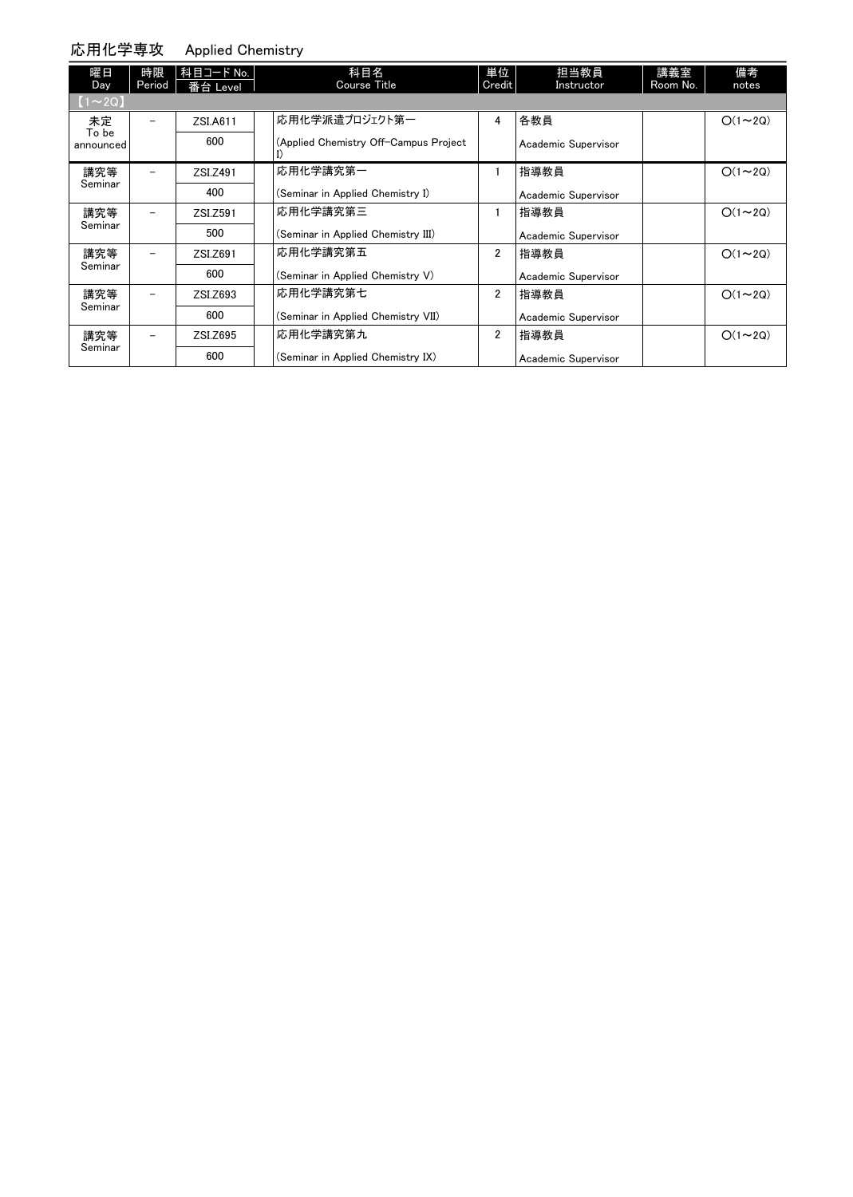#### 応用化学専攻 Applied Chemistry

| 曜日<br>Day          | 時限<br>Period | 科目コード No.<br>番台 Level | 科目名<br><b>Course Title</b>            | 単位<br>Credit   | 担当教員<br>Instructor  | 講義室<br>Room No. | 備考<br>notes   |
|--------------------|--------------|-----------------------|---------------------------------------|----------------|---------------------|-----------------|---------------|
| $(1\sim 2Q)$       |              |                       |                                       |                |                     |                 |               |
| 未定                 |              | ZSI.A611              | 応用化学派遣プロジェクト第一                        | 4              | 各教員                 |                 | $O(1\sim 2Q)$ |
| To be<br>announced |              | 600                   | (Applied Chemistry Off-Campus Project |                | Academic Supervisor |                 |               |
| 講究等                |              | ZSI.Z491              | 応用化学講究第一                              |                | 指導教員                |                 | $O(1\sim 2Q)$ |
| Seminar            |              | 400                   | (Seminar in Applied Chemistry I)      |                | Academic Supervisor |                 |               |
| 講究等                |              | ZSI.Z591              | 応用化学講究第三                              |                | 指導教員                |                 | $O(1\sim 2Q)$ |
| Seminar            |              | 500                   | (Seminar in Applied Chemistry III)    |                | Academic Supervisor |                 |               |
| 講究等                |              | ZSI.Z691              | 応用化学講究第五                              | $\overline{2}$ | 指導教員                |                 | $O(1\sim 2Q)$ |
| Seminar            |              | 600                   | (Seminar in Applied Chemistry V)      |                | Academic Supervisor |                 |               |
| 講究等                |              | ZSI.Z693              | 応用化学講究第七                              | $\overline{2}$ | 指導教員                |                 | $O(1\sim 2Q)$ |
| Seminar            |              | 600                   | (Seminar in Applied Chemistry VII)    |                | Academic Supervisor |                 |               |
| 講究等                |              | ZSI.Z695              | 応用化学講究第九                              | $\overline{2}$ | 指導教員                |                 | $O(1\sim 2Q)$ |
| Seminar            |              | 600                   | (Seminar in Applied Chemistry IX)     |                | Academic Supervisor |                 |               |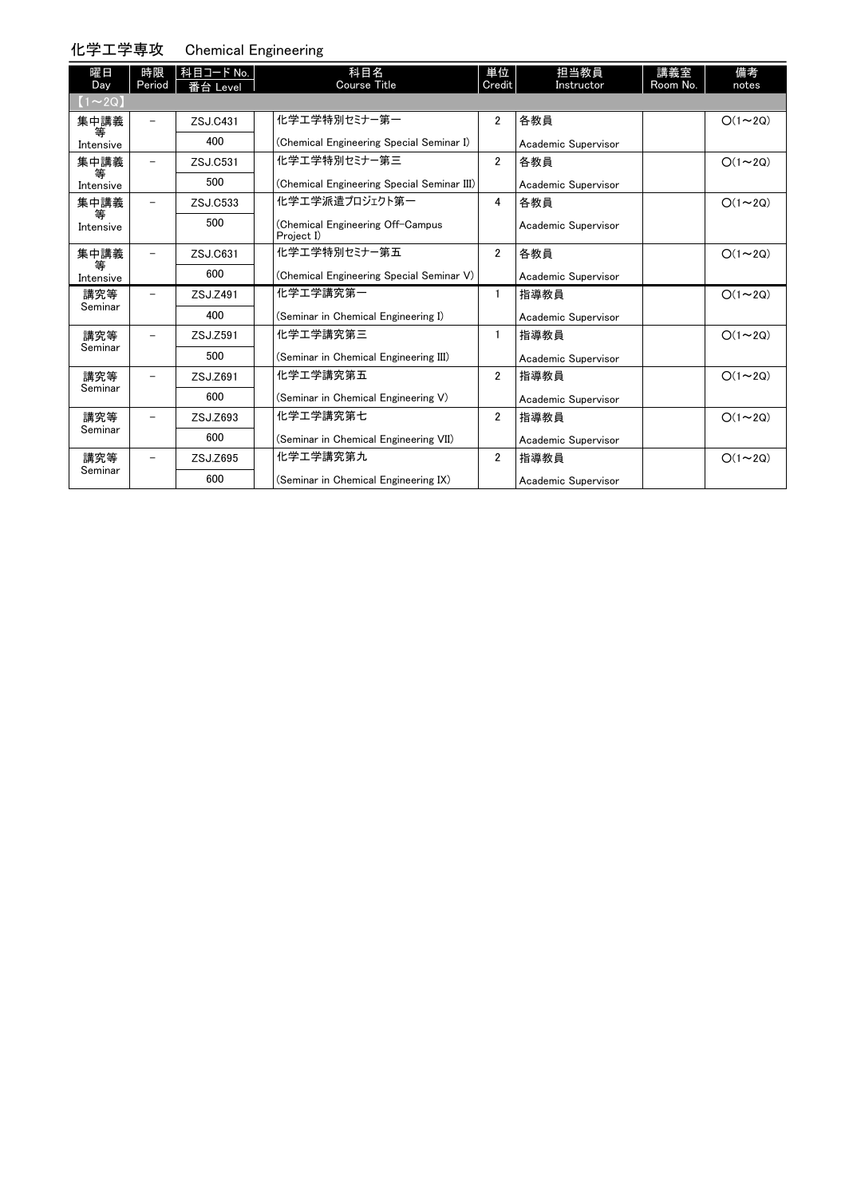## 化学工学専攻 Chemical Engineering

| 曜日<br>Day      | 時限<br>Period | 科目コード No.  <br>番台 Level | 科目名<br><b>Course Title</b>                     | 単位<br>Credit   | 担当教員<br>Instructor  | 講義室<br>Room No. | 備考<br>notes   |
|----------------|--------------|-------------------------|------------------------------------------------|----------------|---------------------|-----------------|---------------|
| $(1\sim 2Q)$   |              |                         |                                                |                |                     |                 |               |
| 集中講義<br>等      |              | ZSJ.C431                | 化学工学特別セミナー第一                                   | $\overline{2}$ | 各教員                 |                 | $O(1\sim 2Q)$ |
| Intensive      |              | 400                     | (Chemical Engineering Special Seminar I)       |                | Academic Supervisor |                 |               |
| 集中講義<br>等      |              | ZSJ.C531                | 化学工学特別セミナー第三                                   | $\overline{2}$ | 各教員                 |                 | $O(1\sim 2Q)$ |
| Intensive      |              | 500                     | (Chemical Engineering Special Seminar III)     |                | Academic Supervisor |                 |               |
| 集中講義           |              | ZSJ.C533                | 化学エ学派遣プロジェクト第一                                 | 4              | 各教員                 |                 | $O(1\sim 2Q)$ |
| 等<br>Intensive |              | 500                     | (Chemical Engineering Off-Campus<br>Project I) |                | Academic Supervisor |                 |               |
| 集中講義           |              | ZSJ.C631                | 化学工学特別セミナー第五                                   | $\overline{2}$ | 各教員                 |                 | $O(1\sim 2Q)$ |
| 等<br>Intensive |              | 600                     | (Chemical Engineering Special Seminar V)       |                | Academic Supervisor |                 |               |
| 講究等            |              | ZSJ.Z491                | 化学工学講究第一                                       | $\mathbf{1}$   | 指導教員                |                 | $O(1\sim 2Q)$ |
| Seminar        |              | 400                     | (Seminar in Chemical Engineering I)            |                | Academic Supervisor |                 |               |
| 講究等            |              | ZSJ.Z591                | 化学工学講究第三                                       | $\mathbf{1}$   | 指導教員                |                 | $O(1\sim 2Q)$ |
| Seminar        |              | 500                     | (Seminar in Chemical Engineering III)          |                | Academic Supervisor |                 |               |
| 講究等            |              | ZSJ.Z691                | 化学工学講究第五                                       | $\overline{2}$ | 指導教員                |                 | $O(1\sim 2Q)$ |
| Seminar        |              | 600                     | (Seminar in Chemical Engineering V)            |                | Academic Supervisor |                 |               |
| 講究等            |              | ZSJ.Z693                | 化学工学講究第七                                       | $\overline{2}$ | 指導教員                |                 | $O(1\sim 2Q)$ |
| Seminar        |              | 600                     | (Seminar in Chemical Engineering VII)          |                | Academic Supervisor |                 |               |
| 講究等            |              | ZSJ.Z695                | 化学工学講究第九                                       | $\overline{2}$ | 指導教員                |                 | $O(1\sim 2Q)$ |
| Seminar        |              | 600                     | (Seminar in Chemical Engineering IX)           |                | Academic Supervisor |                 |               |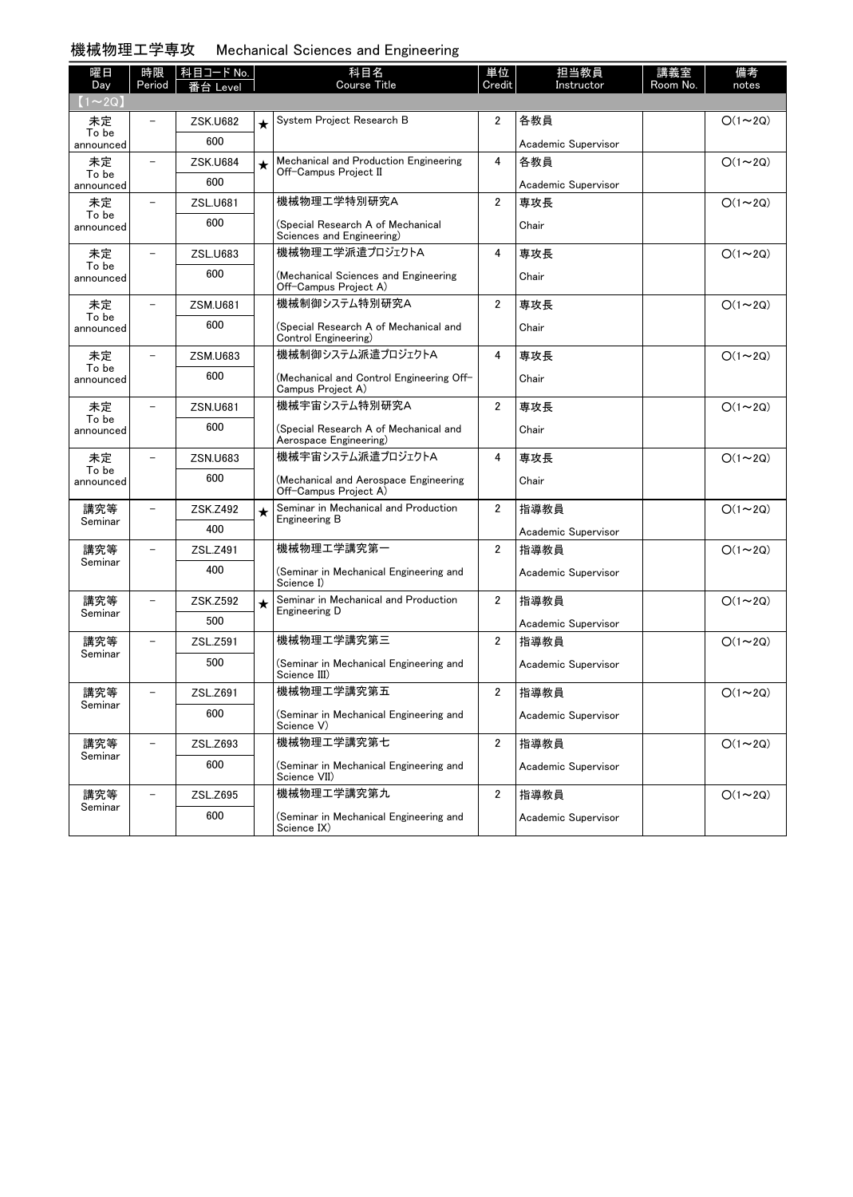# 機械物理工学専攻 Mechanical Sciences and Engineering

| 曜日<br>Day          | 時限<br>Period             | 科目コード No.<br>eve |         | 科目名<br>Course Title                                             | 単位<br>Credit   | 担当教員<br>Instructor  | 講義室<br>Room No. | 備考<br>notes   |
|--------------------|--------------------------|------------------|---------|-----------------------------------------------------------------|----------------|---------------------|-----------------|---------------|
| $(1\sim 2Q)$       |                          |                  |         |                                                                 |                |                     |                 |               |
| 未定                 |                          | <b>ZSK.U682</b>  |         | System Project Research B                                       | $\overline{2}$ | 各教員                 |                 | $O(1\sim 2Q)$ |
| To be<br>announced |                          | 600              |         |                                                                 |                | Academic Supervisor |                 |               |
| 未定                 | $\overline{\phantom{0}}$ | <b>ZSK.U684</b>  | $\star$ | Mechanical and Production Engineering<br>Off-Campus Project II  | 4              | 各教員                 |                 | $O(1\sim 2Q)$ |
| To be<br>announced |                          | 600              |         |                                                                 |                | Academic Supervisor |                 |               |
| 未定<br>To be        |                          | <b>ZSL.U681</b>  |         | 機械物理工学特別研究A                                                     | $\overline{2}$ | 専攻長                 |                 | $O(1\sim 2Q)$ |
| announced          |                          | 600              |         | (Special Research A of Mechanical<br>Sciences and Engineering)  |                | Chair               |                 |               |
| 未定                 |                          | ZSL.U683         |         | 機械物理工学派遣プロジェクトA                                                 | 4              | 専攻長                 |                 | $O(1\sim 2Q)$ |
| To be<br>announced |                          | 600              |         | (Mechanical Sciences and Engineering<br>Off-Campus Project A)   |                | Chair               |                 |               |
| 未定                 |                          | <b>ZSM.U681</b>  |         | 機械制御システム特別研究A                                                   | $\overline{2}$ | 専攻長                 |                 | $O(1\sim 2Q)$ |
| To be<br>announced |                          | 600              |         | (Special Research A of Mechanical and<br>Control Engineering)   |                | Chair               |                 |               |
| 未定                 | $\overline{\phantom{0}}$ | <b>ZSM.U683</b>  |         | 機械制御システム派遣プロジェクトA                                               | 4              | 専攻長                 |                 | $O(1\sim 2Q)$ |
| To be<br>announced |                          | 600              |         | (Mechanical and Control Engineering Off-<br>Campus Project A)   |                | Chair               |                 |               |
| 未定                 |                          | <b>ZSN.U681</b>  |         | 機械宇宙システム特別研究A                                                   | $\overline{2}$ | 専攻長                 |                 | $O(1\sim 2Q)$ |
| To be<br>announced |                          | 600              |         | (Special Research A of Mechanical and<br>Aerospace Engineering) |                | Chair               |                 |               |
| 未定                 |                          | ZSN.U683         |         | 機械宇宙システム派遣プロジェクトA                                               | 4              | 専攻長                 |                 | $O(1\sim 2Q)$ |
| To be<br>announced |                          | 600              |         | (Mechanical and Aerospace Engineering<br>Off-Campus Project A)  |                | Chair               |                 |               |
| 講究等                |                          | ZSK.Z492         | $\star$ | Seminar in Mechanical and Production<br>Engineering B           | $\overline{2}$ | 指導教員                |                 | $O(1\sim 2Q)$ |
| Seminar            |                          | 400              |         |                                                                 |                | Academic Supervisor |                 |               |
| 講究等<br>Seminar     |                          | ZSL.Z491         |         | 機械物理工学講究第一                                                      | $\overline{2}$ | 指導教員                |                 | $O(1\sim 2Q)$ |
|                    |                          | 400              |         | (Seminar in Mechanical Engineering and<br>Science I)            |                | Academic Supervisor |                 |               |
| 講究等                |                          | ZSK.Z592         | $\star$ | Seminar in Mechanical and Production<br>Engineering D           | $\overline{2}$ | 指導教員                |                 | $O(1\sim 2Q)$ |
| Seminar            |                          | 500              |         |                                                                 |                | Academic Supervisor |                 |               |
| 講究等                |                          | ZSL.Z591         |         | 機械物理工学講究第三                                                      | $\overline{2}$ | 指導教員                |                 | $O(1\sim 2Q)$ |
| Seminar            |                          | 500              |         | (Seminar in Mechanical Engineering and<br>Science III)          |                | Academic Supervisor |                 |               |
| 講究等                |                          | ZSL.Z691         |         | 機械物理工学講究第五                                                      | $\overline{2}$ | 指導教員                |                 | $O(1\sim 2Q)$ |
| Seminar            |                          | 600              |         | (Seminar in Mechanical Engineering and<br>Science V)            |                | Academic Supervisor |                 |               |
| 講究等                |                          | ZSL.Z693         |         | 機械物理工学講究第七                                                      | $\overline{2}$ | 指導教員                |                 | $O(1\sim 2Q)$ |
| Seminar            |                          | 600              |         | (Seminar in Mechanical Engineering and<br>Science VII)          |                | Academic Supervisor |                 |               |
| 講究等                |                          | ZSL.Z695         |         | 機械物理工学講究第九                                                      | $\overline{2}$ | 指導教員                |                 | $O(1\sim 2Q)$ |
| Seminar            |                          | 600              |         | (Seminar in Mechanical Engineering and<br>Science IX)           |                | Academic Supervisor |                 |               |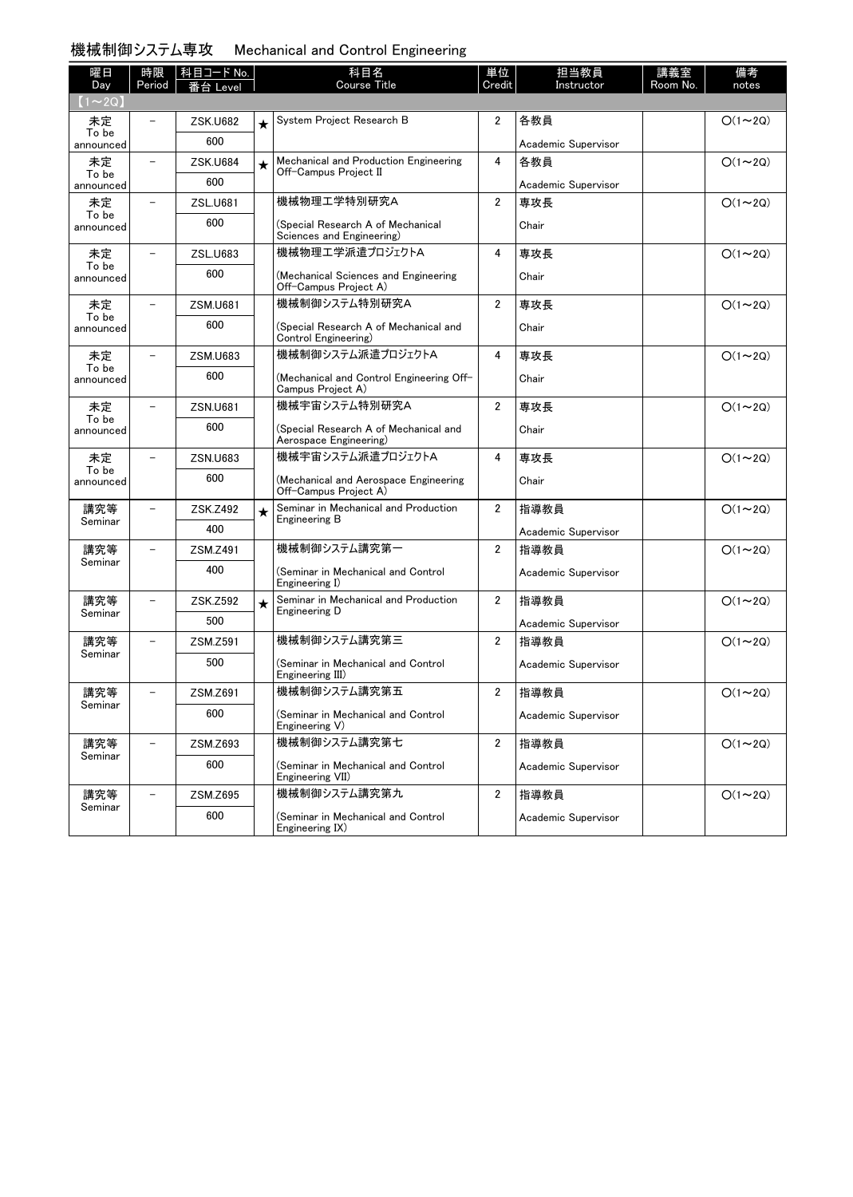| 機械制御システム専攻 | Mechanical and Control Engineering |  |  |  |
|------------|------------------------------------|--|--|--|
|------------|------------------------------------|--|--|--|

| 曜日                 | 時限                       | 科目コード No.       |         | 科目名                                                             | 単位                      | 担当教員                | 講義室      | 備考             |
|--------------------|--------------------------|-----------------|---------|-----------------------------------------------------------------|-------------------------|---------------------|----------|----------------|
| Day<br>$(1\sim2Q)$ | Period                   | 番台 Level        |         | <b>Course Title</b>                                             | Credit                  | Instructor          | Room No. | notes          |
| 未定                 |                          | <b>ZSK.U682</b> |         | System Project Research B                                       | $\overline{2}$          | 各教員                 |          | $O(1\sim 2Q)$  |
| To be              |                          | 600             | $\star$ |                                                                 |                         |                     |          |                |
| announced          |                          |                 |         |                                                                 |                         | Academic Supervisor |          |                |
| 未定<br>To be        |                          | <b>ZSK.U684</b> | $\star$ | Mechanical and Production Engineering<br>Off-Campus Project II  | 4                       | 各教員                 |          | $O(1\sim 2Q)$  |
| announced          |                          | 600             |         |                                                                 |                         | Academic Supervisor |          |                |
| 未定<br>To be        |                          | ZSL.U681        |         | 機械物理工学特別研究A                                                     | $\overline{2}$          | 専攻長                 |          | $O(1\sim 2Q)$  |
| announced          |                          | 600             |         | (Special Research A of Mechanical<br>Sciences and Engineering)  |                         | Chair               |          |                |
| 未定                 | $\overline{\phantom{0}}$ | ZSL.U683        |         | 機械物理工学派遣プロジェクトA                                                 | 4                       | 専攻長                 |          | $O(1\sim 2Q)$  |
| To be<br>announced |                          | 600             |         | (Mechanical Sciences and Engineering<br>Off-Campus Project A)   |                         | Chair               |          |                |
| 未定                 | $\overline{\phantom{0}}$ | <b>ZSM.U681</b> |         | 機械制御システム特別研究A                                                   | $\overline{2}$          | 専攻長                 |          | $O(1\sim 2Q)$  |
| To be<br>announced |                          | 600             |         | (Special Research A of Mechanical and<br>Control Engineering)   |                         | Chair               |          |                |
| 未定                 | $\overline{\phantom{0}}$ | <b>ZSM.U683</b> |         | 機械制御システム派遣プロジェクトA                                               | 4                       | 専攻長                 |          | $O(1\sim 2Q)$  |
| To be<br>announced |                          | 600             |         | (Mechanical and Control Engineering Off-<br>Campus Project A)   |                         | Chair               |          |                |
| 未定                 | $\overline{\phantom{0}}$ | ZSN.U681        |         | 機械宇宙システム特別研究A                                                   | $\overline{2}$          | 専攻長                 |          | $O(1\sim 2Q)$  |
| To be<br>announced |                          | 600             |         | (Special Research A of Mechanical and<br>Aerospace Engineering) |                         | Chair               |          |                |
| 未定                 | $\overline{\phantom{0}}$ | ZSN.U683        |         | 機械宇宙システム派遣プロジェクトA                                               | 4                       | 専攻長                 |          | $O(1\sim 2Q)$  |
| To be<br>announced |                          | 600             |         | (Mechanical and Aerospace Engineering<br>Off-Campus Project A)  |                         | Chair               |          |                |
| 講究等                | -                        | ZSK.Z492        | $\star$ | Seminar in Mechanical and Production                            | $\overline{2}$          | 指導教員                |          | $O(1\sim 2Q)$  |
| Seminar            |                          | 400             |         | Engineering B                                                   |                         | Academic Supervisor |          |                |
| 講究等                |                          | ZSM.Z491        |         | 機械制御システム講究第一                                                    | $\overline{\mathbf{2}}$ | 指導教員                |          | $O(1\sim 2Q)$  |
| Seminar            |                          | 400             |         | (Seminar in Mechanical and Control<br>Engineering I)            |                         | Academic Supervisor |          |                |
| 講究等                | $\overline{\phantom{0}}$ | ZSK.Z592        | $\star$ | Seminar in Mechanical and Production                            | $\overline{2}$          | 指導教員                |          | $O(1\sim 2Q)$  |
| Seminar            |                          | 500             |         | Engineering D                                                   |                         | Academic Supervisor |          |                |
| 講究等                | $\equiv$                 | ZSM.Z591        |         | 機械制御システム講究第三                                                    | $\overline{2}$          | 指導教員                |          | $O(1\sim 2Q)$  |
| Seminar            |                          | 500             |         | (Seminar in Mechanical and Control                              |                         |                     |          |                |
|                    |                          |                 |         | Engineering III)                                                |                         | Academic Supervisor |          |                |
| 講究等                | $\overline{\phantom{0}}$ | ZSM.Z691        |         | 機械制御システム講究第五                                                    | 2                       | 指導教員                |          | $O(1 \sim 2Q)$ |
| Seminar            |                          | 600             |         | (Seminar in Mechanical and Control<br>Engineering V)            |                         | Academic Supervisor |          |                |
| 講究等                |                          | ZSM.Z693        |         | 機械制御システム講究第七                                                    | 2                       | 指導教員                |          | $O(1\sim 2Q)$  |
| Seminar            |                          | 600             |         | (Seminar in Mechanical and Control<br>Engineering VII)          |                         | Academic Supervisor |          |                |
| 講究等                |                          | ZSM.Z695        |         | 機械制御システム講究第九                                                    | $\overline{\mathbf{2}}$ | 指導教員                |          | $O(1\sim 2Q)$  |
| Seminar            |                          | 600             |         | (Seminar in Mechanical and Control<br>Engineering IX)           |                         | Academic Supervisor |          |                |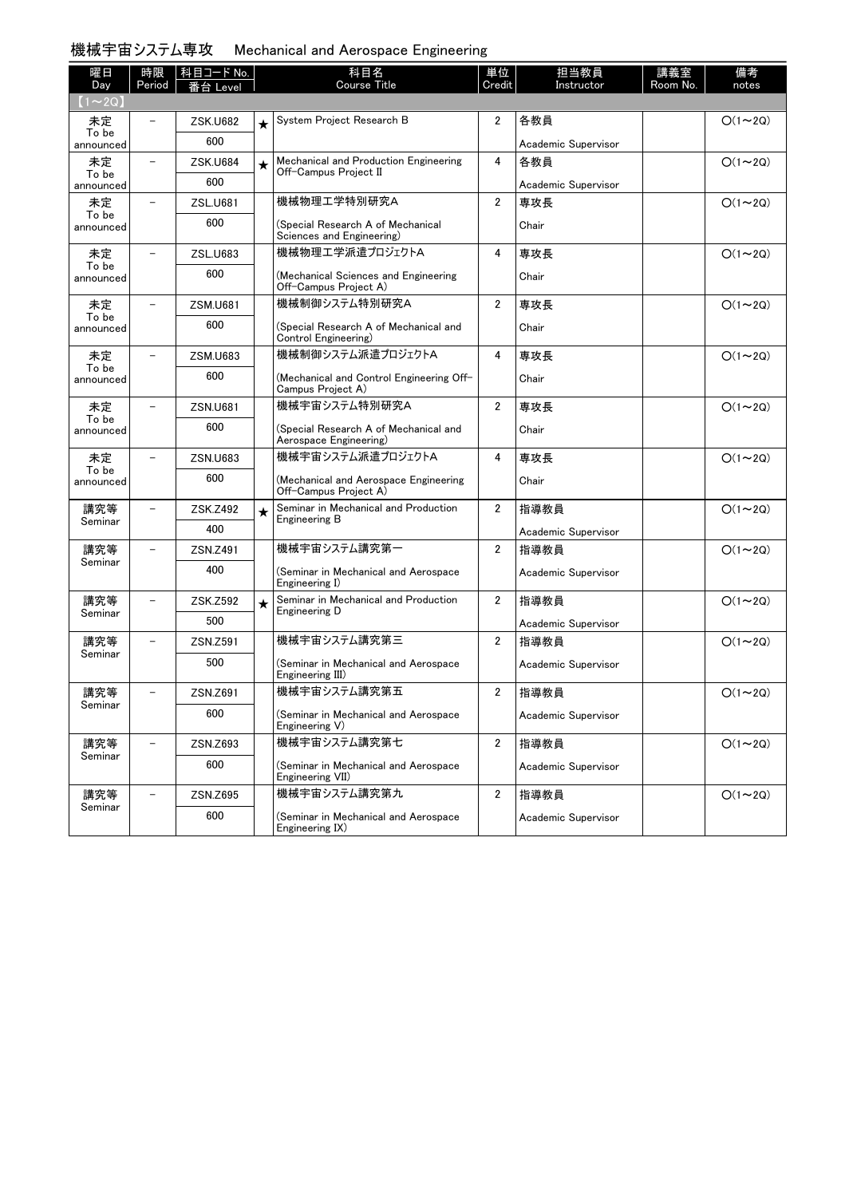| 機械宇宙システム専攻 | Mechanical and Aerospace Engineering |  |  |
|------------|--------------------------------------|--|--|
|------------|--------------------------------------|--|--|

| 曜日                  | 時限                       | │科目コード No.      |         | 科目名<br><b>Course Title</b>                                      | 単位<br>Credit            | 担当教員<br>Instructor  | 講義室<br>Room No. | 備考            |
|---------------------|--------------------------|-----------------|---------|-----------------------------------------------------------------|-------------------------|---------------------|-----------------|---------------|
| Day<br>$(1\sim 2Q)$ | Period                   | 番台 Level        |         |                                                                 |                         |                     |                 | notes         |
| 未定                  |                          | <b>ZSK.U682</b> | $\star$ | System Project Research B                                       | 2                       | 各教員                 |                 | $O(1\sim 2Q)$ |
| To be<br>announced  |                          | 600             |         |                                                                 |                         | Academic Supervisor |                 |               |
| 未定                  |                          | <b>ZSK.U684</b> | $\star$ | Mechanical and Production Engineering                           | 4                       | 各教員                 |                 | $O(1\sim 2Q)$ |
| To be<br>announced  |                          | 600             |         | Off-Campus Project II                                           |                         | Academic Supervisor |                 |               |
| 未定                  |                          | ZSL.U681        |         | 機械物理工学特別研究A                                                     | $\overline{2}$          | 専攻長                 |                 | $O(1\sim 2Q)$ |
| To be<br>announced  |                          | 600             |         | (Special Research A of Mechanical<br>Sciences and Engineering)  |                         | Chair               |                 |               |
| 未定                  |                          | ZSL.U683        |         | 機械物理工学派遣プロジェクトA                                                 | 4                       | 専攻長                 |                 | $O(1\sim 2Q)$ |
| To be<br>announced  |                          | 600             |         | (Mechanical Sciences and Engineering<br>Off-Campus Project A)   |                         | Chair               |                 |               |
| 未定<br>To be         |                          | <b>ZSM.U681</b> |         | 機械制御システム特別研究A                                                   | $\overline{2}$          | 専攻長                 |                 | $O(1\sim 2Q)$ |
| announced           |                          | 600             |         | (Special Research A of Mechanical and<br>Control Engineering)   |                         | Chair               |                 |               |
| 未定<br>To be         |                          | <b>ZSM.U683</b> |         | 機械制御システム派遣プロジェクトA                                               | 4                       | 専攻長                 |                 | $O(1\sim 2Q)$ |
| announced           |                          | 600             |         | (Mechanical and Control Engineering Off-<br>Campus Project A)   |                         | Chair               |                 |               |
| 未定<br>To be         |                          | <b>ZSN.U681</b> |         | 機械宇宙システム特別研究A                                                   | $\overline{2}$          | 専攻長                 |                 | $O(1\sim 2Q)$ |
| announced           |                          | 600             |         | (Special Research A of Mechanical and<br>Aerospace Engineering) |                         | Chair               |                 |               |
| 未定<br>To be         |                          | ZSN.U683        |         | 機械宇宙システム派遣プロジェクトA                                               | 4                       | 専攻長                 |                 | $O(1\sim 2Q)$ |
| announced           |                          | 600             |         | (Mechanical and Aerospace Engineering<br>Off-Campus Project A)  |                         | Chair               |                 |               |
| 講究等<br>Seminar      |                          | ZSK.Z492        | $\star$ | Seminar in Mechanical and Production<br>Engineering B           | $\overline{2}$          | 指導教員                |                 | $O(1\sim 2Q)$ |
|                     |                          | 400             |         |                                                                 |                         | Academic Supervisor |                 |               |
| 講究等<br>Seminar      | $\overline{\phantom{0}}$ | ZSN.Z491        |         | 機械宇宙システム講究第一                                                    | 2                       | 指導教員                |                 | $O(1\sim 2Q)$ |
|                     |                          | 400             |         | (Seminar in Mechanical and Aerospace<br>Engineering I)          |                         | Academic Supervisor |                 |               |
| 講究等<br>Seminar      | -                        | ZSK.Z592        | $\star$ | Seminar in Mechanical and Production<br>Engineering D           | $\overline{2}$          | 指導教員                |                 | $O(1\sim 2Q)$ |
|                     |                          | 500             |         |                                                                 |                         | Academic Supervisor |                 |               |
| 講究等<br>Seminar      |                          | ZSN.Z591        |         | 機械宇宙システム講究第三                                                    | $\overline{2}$          | 指導教員                |                 | $O(1\sim 2Q)$ |
|                     |                          | 500             |         | (Seminar in Mechanical and Aerospace<br>Engineering III)        |                         | Academic Supervisor |                 |               |
| 講究等<br>Seminar      |                          | ZSN.Z691        |         | 機械宇宙システム講究第五                                                    | 2                       | 指導教員                |                 | $O(1\sim 2Q)$ |
|                     |                          | 600             |         | (Seminar in Mechanical and Aerospace<br>Engineering V)          |                         | Academic Supervisor |                 |               |
| 講究等<br>Seminar      |                          | ZSN.Z693        |         | 機械宇宙システム講究第七                                                    | $\overline{\mathbf{2}}$ | 指導教員                |                 | $O(1\sim 2Q)$ |
|                     |                          | 600             |         | (Seminar in Mechanical and Aerospace<br>Engineering VII)        |                         | Academic Supervisor |                 |               |
| 講究等                 |                          | ZSN.Z695        |         | 機械宇宙システム講究第九                                                    | $\overline{2}$          | 指導教員                |                 | $O(1\sim 2Q)$ |
| Seminar             |                          | 600             |         | (Seminar in Mechanical and Aerospace<br>Engineering IX)         |                         | Academic Supervisor |                 |               |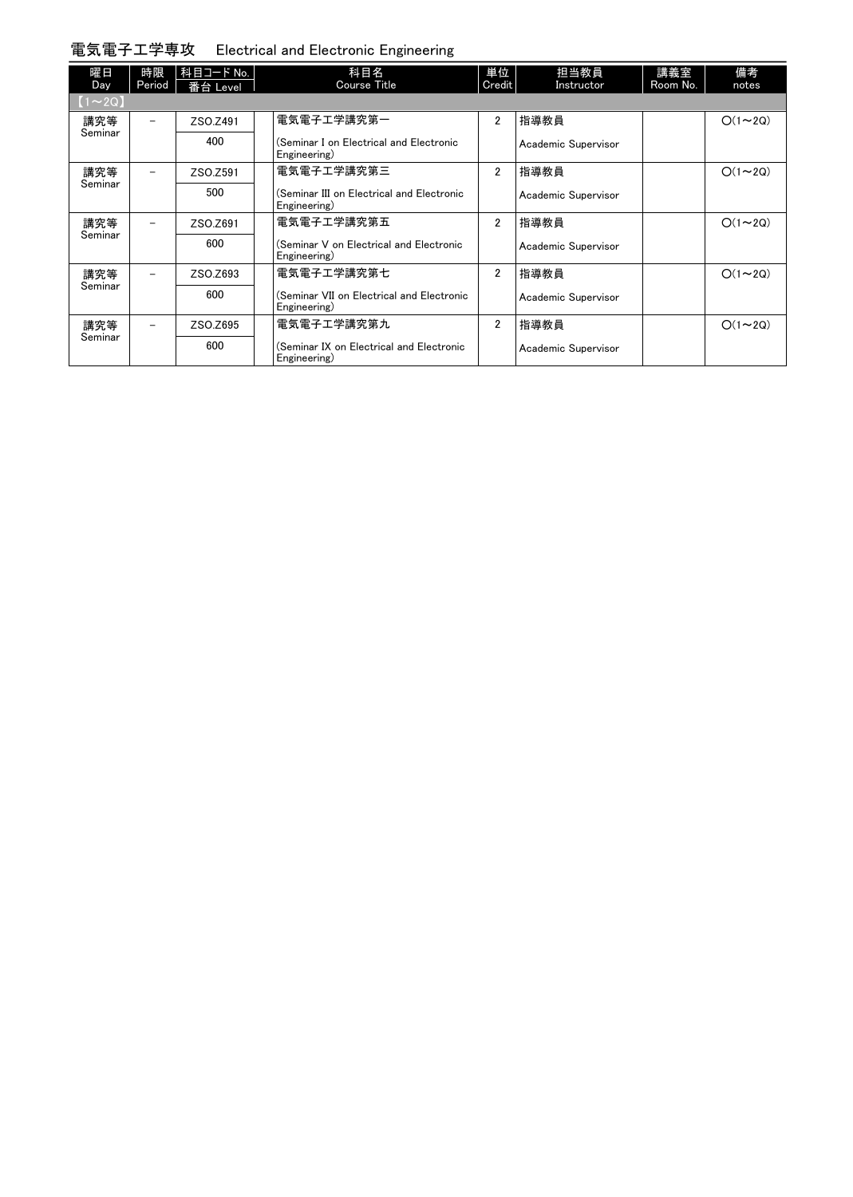電気電子工学専攻 Electrical and Electronic Engineering

| 曜日<br>Day      | 時限<br>Period | 科目コード No.<br>番台 Level | 科目名<br><b>Course Title</b>                                | 単位<br>Credit   | 担当教員<br>Instructor  | 講義室<br>Room No. | 備考<br>notes   |
|----------------|--------------|-----------------------|-----------------------------------------------------------|----------------|---------------------|-----------------|---------------|
| $(1 \sim 2Q)$  |              |                       |                                                           |                |                     |                 |               |
| 講究等<br>Seminar |              | ZSO.Z491              | 電気電子エ学講究第一                                                | $\overline{2}$ | 指導教員                |                 | $O(1\sim 2Q)$ |
|                |              | 400                   | (Seminar I on Electrical and Electronic<br>Engineering)   |                | Academic Supervisor |                 |               |
| 講究等<br>Seminar |              | ZSO.Z591              | 電気電子エ学講究第三                                                | $\overline{2}$ | 指導教員                |                 | $O(1\sim 2Q)$ |
|                |              | 500                   | (Seminar III on Electrical and Electronic<br>Engineering) |                | Academic Supervisor |                 |               |
| 講究等            |              | ZSO.Z691              | 電気電子エ学講究第五                                                | $\overline{2}$ | 指導教員                |                 | $O(1\sim 2Q)$ |
| Seminar        |              | 600                   | (Seminar V on Electrical and Electronic<br>Engineering)   |                | Academic Supervisor |                 |               |
| 講究等            |              | ZSO.Z693              | 電気電子工学講究第七                                                | $\overline{2}$ | 指導教員                |                 | $O(1\sim 2Q)$ |
| Seminar        |              | 600                   | (Seminar VII on Electrical and Electronic<br>Engineering) |                | Academic Supervisor |                 |               |
| 講究等            |              | ZSO.Z695              | 電気電子工学講究第九                                                | $\overline{2}$ | 指導教員                |                 | $O(1\sim 2Q)$ |
| Seminar        |              | 600                   | (Seminar IX on Electrical and Electronic<br>Engineering)  |                | Academic Supervisor |                 |               |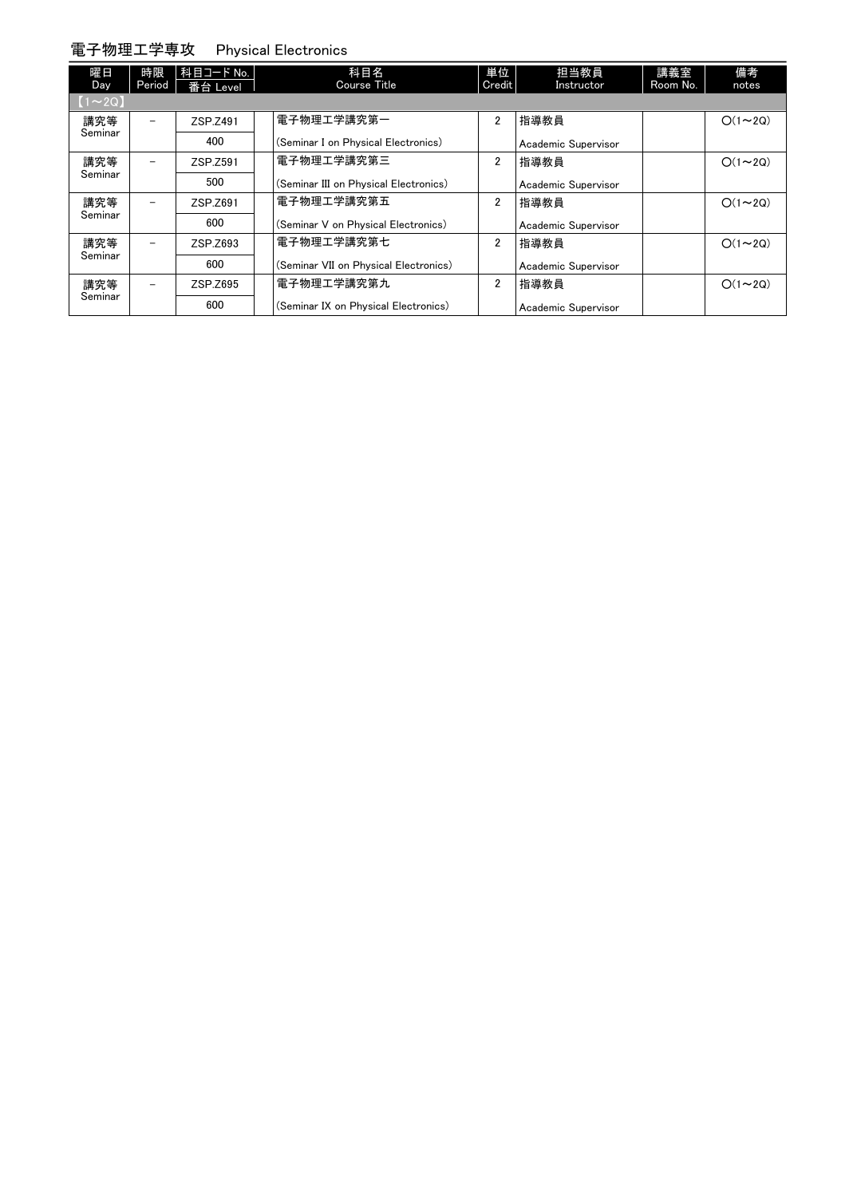### 電子物理工学専攻 Physical Electronics

| 曜日<br>Day      | 時限<br>Period             | 科目コード No.<br>番台 Level | 科目名<br><b>Course Title</b>            | 単位<br>Credit   | 担当教員<br>Instructor  | 講義室<br>Room No. | 備考<br>notes   |
|----------------|--------------------------|-----------------------|---------------------------------------|----------------|---------------------|-----------------|---------------|
| $[1 \sim 2Q]$  |                          |                       |                                       |                |                     |                 |               |
| 講究等<br>Seminar | $\equiv$                 | ZSP.Z491              | 電子物理工学講究第一                            | $\overline{2}$ | 指導教員                |                 | $O(1\sim 2Q)$ |
|                |                          | 400                   | (Seminar I on Physical Electronics)   |                | Academic Supervisor |                 |               |
| 講究等            | $\overline{\phantom{a}}$ | ZSP.Z591              | 電子物理工学講究第三                            | $\overline{2}$ | 指導教員                |                 | $O(1\sim 2Q)$ |
| Seminar        |                          | 500                   | (Seminar III on Physical Electronics) |                | Academic Supervisor |                 |               |
| 講究等            | $\overline{\phantom{a}}$ | ZSP.Z691              | 電子物理工学講究第五                            | $\overline{2}$ | 指導教員                |                 | $O(1\sim 2Q)$ |
| Seminar        |                          | 600                   | (Seminar V on Physical Electronics)   |                | Academic Supervisor |                 |               |
| 講究等            | $\overline{\phantom{a}}$ | ZSP.Z693              | 電子物理工学講究第七                            | $\overline{2}$ | 指導教員                |                 | $O(1\sim 2Q)$ |
| Seminar        |                          | 600                   | (Seminar VII on Physical Electronics) |                | Academic Supervisor |                 |               |
| 講究等            | $\overline{\phantom{0}}$ | ZSP.Z695              | 電子物理工学講究第九                            | $\overline{2}$ | 指導教員                |                 | $O(1\sim 2Q)$ |
| Seminar        |                          | 600                   | (Seminar IX on Physical Electronics)  |                | Academic Supervisor |                 |               |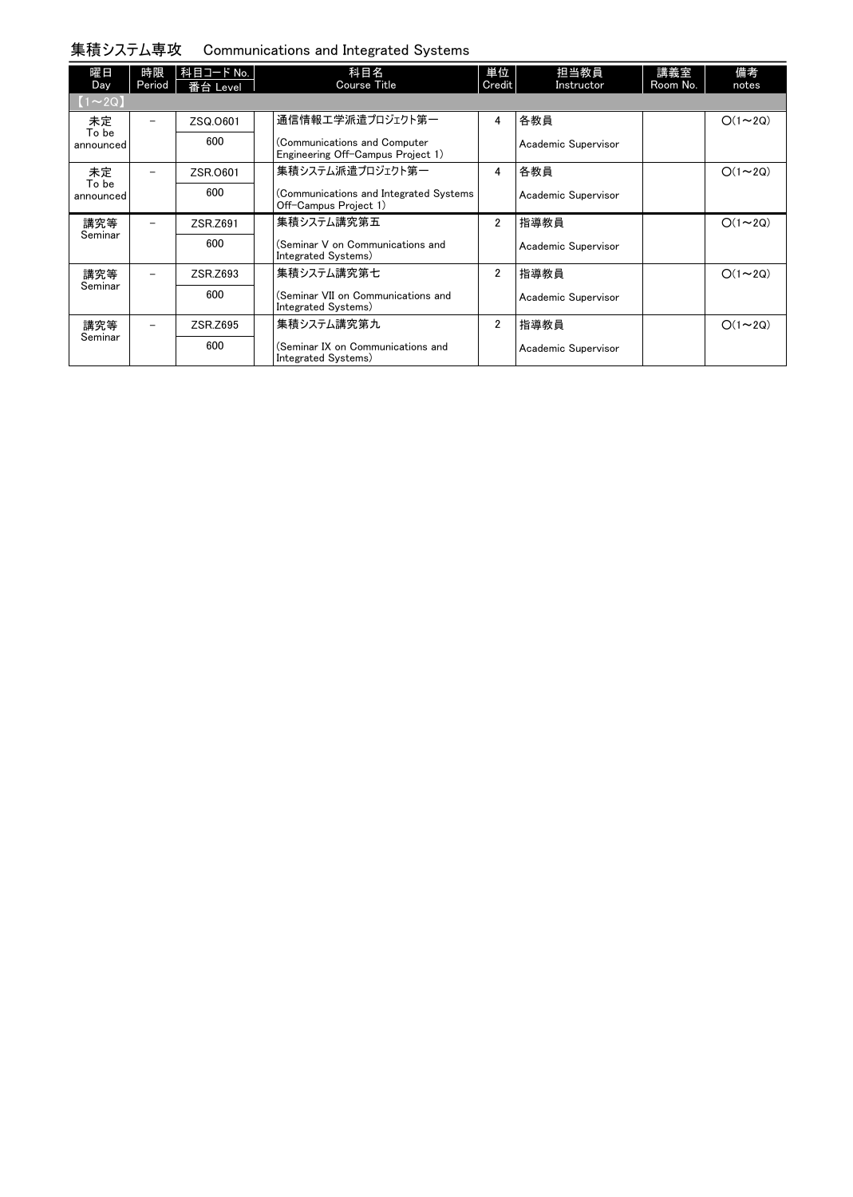#### 集積システム専攻 Communications and Integrated Systems

| 曜日<br>Day          | 時限<br>Period             | 科目コード No.<br>番台 Level | 科目名<br><b>Course Title</b>                                        | 単位<br>Credit   | 担当教員<br>Instructor  | 講義室<br>Room No. | 備考<br>notes   |
|--------------------|--------------------------|-----------------------|-------------------------------------------------------------------|----------------|---------------------|-----------------|---------------|
| $\sim$ 2Q)         |                          |                       |                                                                   |                |                     |                 |               |
| 未定<br>To be        |                          | ZSQ.0601              | 通信情報エ学派遣プロジェクト第一                                                  | 4              | 各教員                 |                 | $O(1\sim 2Q)$ |
| announced          |                          | 600                   | (Communications and Computer<br>Engineering Off-Campus Project 1) |                | Academic Supervisor |                 |               |
| 未定                 |                          | ZSR.0601              | 集積システム派遣プロジェクト第一                                                  | 4              | 各教員                 |                 | $O(1\sim 2Q)$ |
| To be<br>announced |                          | 600                   | (Communications and Integrated Systems<br>Off-Campus Project 1)   |                | Academic Supervisor |                 |               |
| 講究等                |                          | ZSR.Z691              | 集積システム講究第五                                                        | 2              | 指導教員                |                 | $O(1\sim 2Q)$ |
| Seminar            |                          | 600                   | (Seminar V on Communications and<br>Integrated Systems)           |                | Academic Supervisor |                 |               |
| 講究等                | $\overline{\phantom{0}}$ | ZSR.Z693              | 集積システム講究第七                                                        | $\overline{2}$ | 指導教員                |                 | $O(1\sim 2Q)$ |
| Seminar            |                          | 600                   | (Seminar VII on Communications and<br>Integrated Systems)         |                | Academic Supervisor |                 |               |
| 講究等                |                          | ZSR.Z695              | 集積システム講究第九                                                        | $\overline{2}$ | 指導教員                |                 | $O(1\sim 2Q)$ |
| Seminar            |                          | 600                   | (Seminar IX on Communications and<br>Integrated Systems)          |                | Academic Supervisor |                 |               |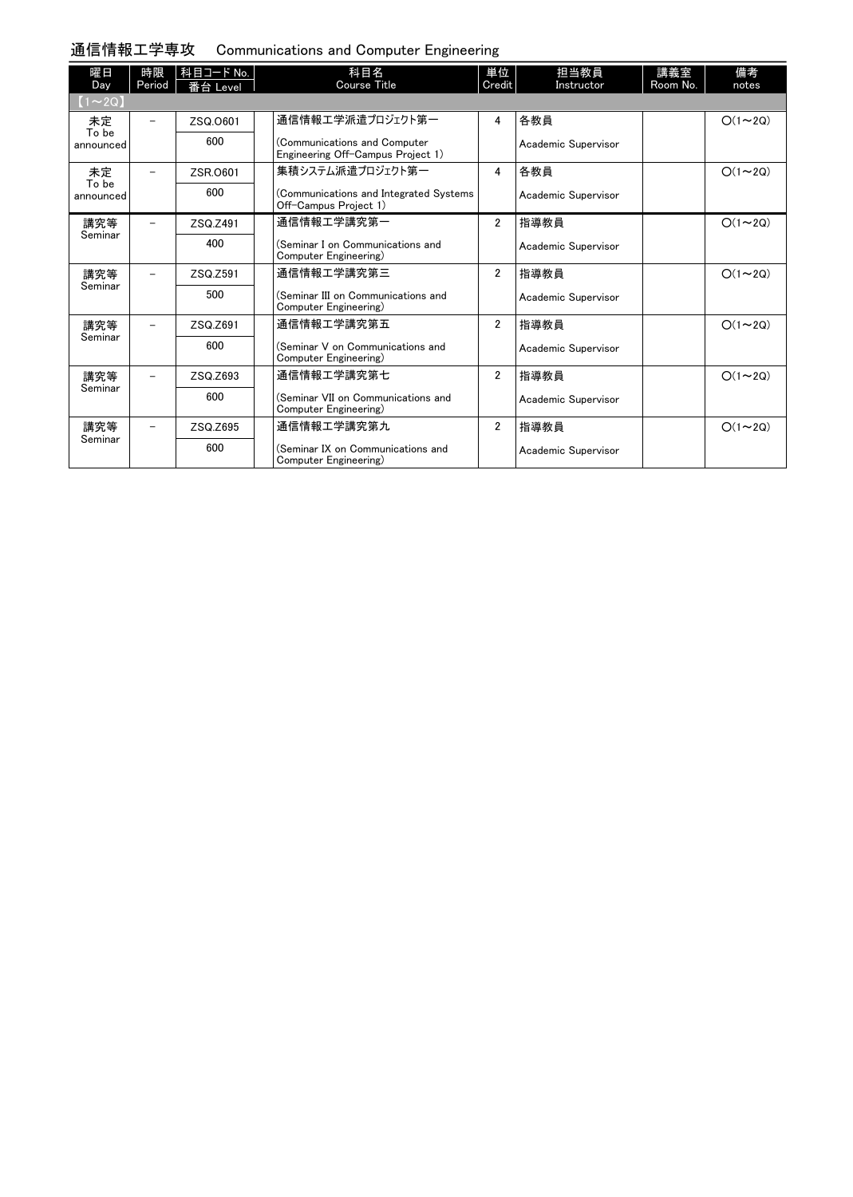## 通信情報工学専攻 Communications and Computer Engineering

| 曜日<br>Day          | 時限<br>Period             | 科目コード No.<br>番台 Level | 科目名<br><b>Course Title</b>                                        | 単位<br>Credit   | 担当教員<br>Instructor  | 講義室<br>Room No. | 備考<br>notes   |
|--------------------|--------------------------|-----------------------|-------------------------------------------------------------------|----------------|---------------------|-----------------|---------------|
| $(1\sim 2Q)$       |                          |                       |                                                                   |                |                     |                 |               |
| 未定<br>To be        |                          | ZSQ.0601              | 通信情報工学派遣プロジェクト第一                                                  | 4              | 各教員                 |                 | $O(1\sim 2Q)$ |
| announced          |                          | 600                   | (Communications and Computer<br>Engineering Off-Campus Project 1) |                | Academic Supervisor |                 |               |
| 未定                 | $\overline{\phantom{0}}$ | ZSR.0601              | 集積システム派遣プロジェクト第一                                                  | 4              | 各教員                 |                 | $O(1\sim 2Q)$ |
| To be<br>announced |                          | 600                   | (Communications and Integrated Systems<br>Off-Campus Project 1)   |                | Academic Supervisor |                 |               |
| 講究等                |                          | ZSQ.Z491              | 通信情報工学講究第一                                                        | $\overline{2}$ | 指導教員                |                 | $O(1\sim 2Q)$ |
| Seminar            |                          | 400                   | (Seminar I on Communications and<br>Computer Engineering)         |                | Academic Supervisor |                 |               |
| 講究等                |                          | ZSQ.Z591              | 通信情報工学講究第三                                                        | $\overline{2}$ | 指導教員                |                 | $O(1\sim 2Q)$ |
| Seminar            |                          | 500                   | (Seminar III on Communications and<br>Computer Engineering)       |                | Academic Supervisor |                 |               |
| 講究等                |                          | ZSQ.Z691              | 通信情報工学講究第五                                                        | $\overline{2}$ | 指導教員                |                 | $O(1\sim 2Q)$ |
| Seminar            |                          | 600                   | (Seminar V on Communications and<br>Computer Engineering)         |                | Academic Supervisor |                 |               |
| 講究等                | Ξ.                       | ZSQ.Z693              | 通信情報工学講究第七                                                        | 2              | 指導教員                |                 | $O(1\sim 2Q)$ |
| Seminar            |                          | 600                   | (Seminar VII on Communications and<br>Computer Engineering)       |                | Academic Supervisor |                 |               |
| 講究等                | $\overline{\phantom{0}}$ | ZSQ.Z695              | 通信情報工学講究第九                                                        | $\overline{2}$ | 指導教員                |                 | $O(1\sim 2Q)$ |
| Seminar            |                          | 600                   | (Seminar IX on Communications and<br>Computer Engineering)        |                | Academic Supervisor |                 |               |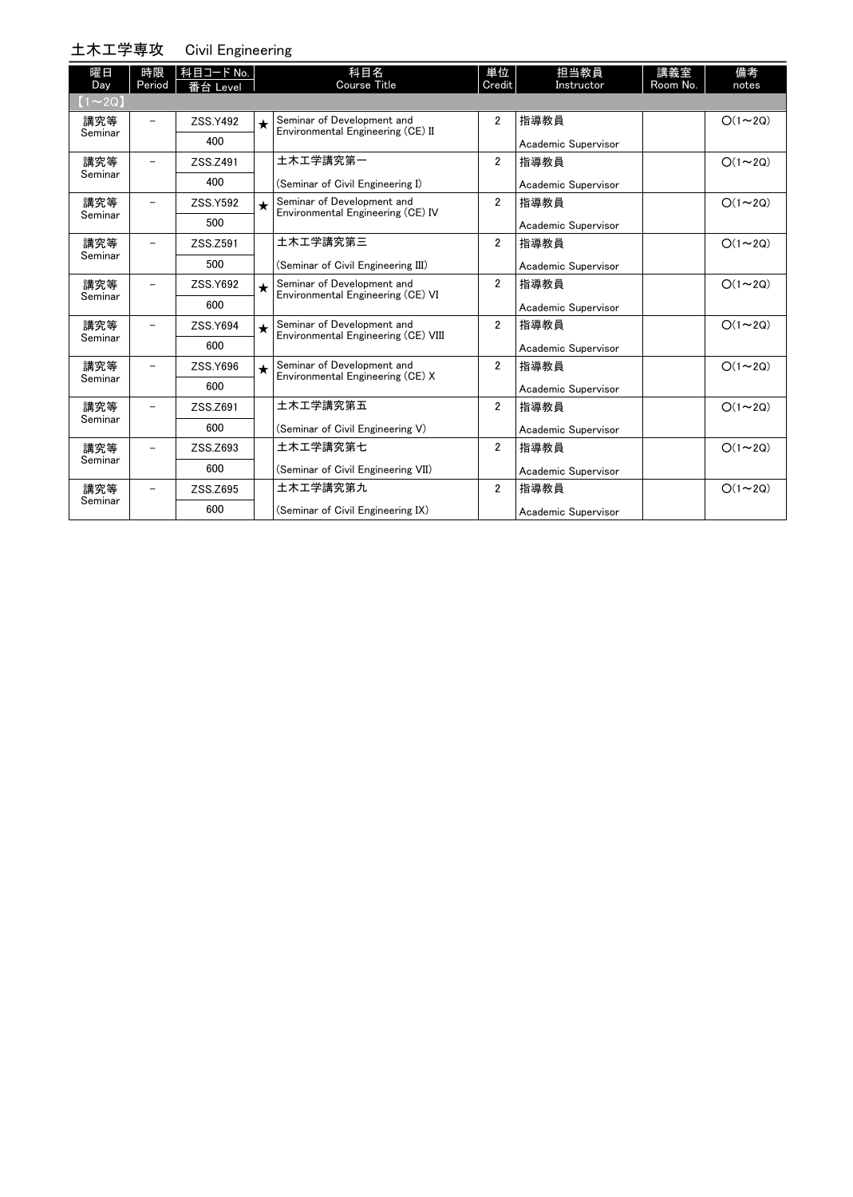#### 土木工学専攻

|  | Civil Engineering |
|--|-------------------|
|  |                   |

| 曜日<br>Day      | 時限<br>Period | 科目コード No.<br>番台 Level |            | 科目名<br>Course Title                                               | 単位<br>Credit   | 担当教員<br>Instructor  | 講義室<br>Room No. | 備考<br>notes   |
|----------------|--------------|-----------------------|------------|-------------------------------------------------------------------|----------------|---------------------|-----------------|---------------|
| $(1\sim 2Q)$   |              |                       |            |                                                                   |                |                     |                 |               |
| 講究等            |              | ZSS.Y492              | $\bigstar$ | Seminar of Development and<br>Environmental Engineering (CE) II   | 2              | 指導教員                |                 | $O(1\sim 2Q)$ |
| Seminar        |              | 400                   |            |                                                                   |                | Academic Supervisor |                 |               |
| 講究等            |              | ZSS.Z491              |            | 土木工学講究第一                                                          | $\overline{2}$ | 指導教員                |                 | $O(1\sim 2Q)$ |
| Seminar        |              | 400                   |            | (Seminar of Civil Engineering I)                                  |                | Academic Supervisor |                 |               |
| 講究等<br>Seminar |              | ZSS.Y592              | $\star$    | Seminar of Development and<br>Environmental Engineering (CE) IV   | $\overline{2}$ | 指導教員                |                 | $O(1\sim 2Q)$ |
|                |              | 500                   |            |                                                                   |                | Academic Supervisor |                 |               |
| 講究等<br>Seminar |              | ZSS.Z591              |            | 土木工学講究第三                                                          | $\overline{2}$ | 指導教員                |                 | $O(1\sim 2Q)$ |
|                |              | 500                   |            | (Seminar of Civil Engineering III)                                |                | Academic Supervisor |                 |               |
| 講究等            |              | ZSS.Y692              | $\star$    | Seminar of Development and<br>Environmental Engineering (CE) VI   | $\overline{2}$ | 指導教員                |                 | $O(1\sim 2Q)$ |
| Seminar        |              | 600                   |            |                                                                   |                | Academic Supervisor |                 |               |
| 講究等            |              | ZSS.Y694              | $\star$    | Seminar of Development and<br>Environmental Engineering (CE) VIII | $\overline{2}$ | 指導教員                |                 | $O(1\sim 2Q)$ |
| Seminar        |              | 600                   |            |                                                                   |                | Academic Supervisor |                 |               |
| 講究等            |              | ZSS.Y696              | $\star$    | Seminar of Development and<br>Environmental Engineering (CE) X    | $\overline{2}$ | 指導教員                |                 | $O(1\sim 2Q)$ |
| Seminar        |              | 600                   |            |                                                                   |                | Academic Supervisor |                 |               |
| 講究等            |              | ZSS.Z691              |            | 土木工学講究第五                                                          | $\overline{2}$ | 指導教員                |                 | $O(1\sim 2Q)$ |
| Seminar        |              | 600                   |            | (Seminar of Civil Engineering V)                                  |                | Academic Supervisor |                 |               |
| 講究等            |              | ZSS.Z693              |            | 土木工学講究第七                                                          | $\overline{2}$ | 指導教員                |                 | $O(1\sim 2Q)$ |
| Seminar        |              | 600                   |            | (Seminar of Civil Engineering VII)                                |                | Academic Supervisor |                 |               |
| 講究等            |              | ZSS.Z695              |            | 土木工学講究第九                                                          | 2              | 指導教員                |                 | $O(1\sim 2Q)$ |
| Seminar        |              | 600                   |            | (Seminar of Civil Engineering IX)                                 |                | Academic Supervisor |                 |               |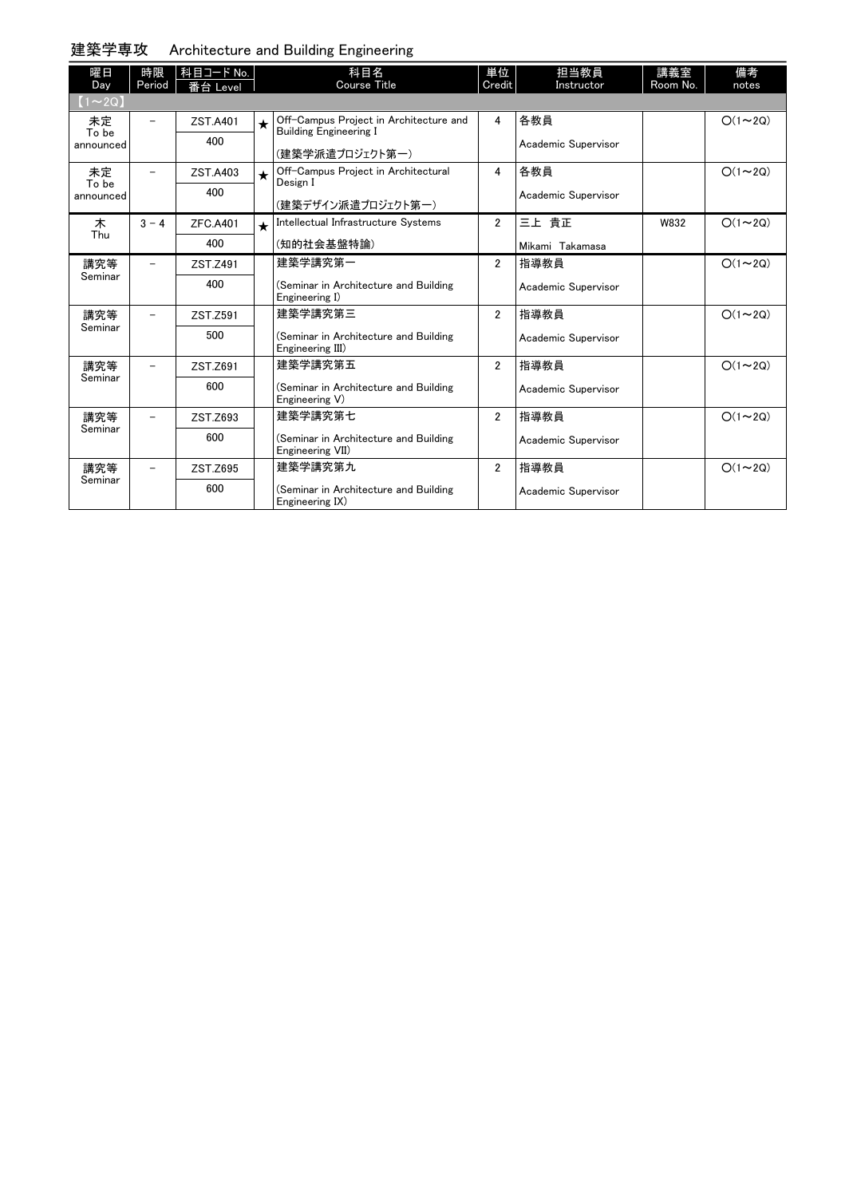| 建築学専攻 | Architecture and Building Engineering |  |
|-------|---------------------------------------|--|
|-------|---------------------------------------|--|

| 曜日<br>Day                | 時限<br>Period | 科目コード No.<br>番台 Level |            | 科目名<br>Course Title                                                                        | 単位<br>Credit   | 担当教員<br>Instructor         | 講義室<br>Room No. | 備考<br>notes   |
|--------------------------|--------------|-----------------------|------------|--------------------------------------------------------------------------------------------|----------------|----------------------------|-----------------|---------------|
| $(1\sim 2Q)$             |              |                       |            |                                                                                            |                |                            |                 |               |
| 未定<br>To be<br>announced |              | ZST.A401<br>400       | $\bigstar$ | Off-Campus Project in Architecture and<br><b>Building Engineering I</b><br>(建築学派遣プロジェクト第一) | 4              | 各教員<br>Academic Supervisor |                 | $O(1\sim 2Q)$ |
| 未定                       | $\equiv$     | ZST.A403              | $\star$    | Off-Campus Project in Architectural                                                        | 4              | 各教員                        |                 | $O(1\sim 2Q)$ |
| To be<br>announced       |              | 400                   |            | Design I<br>(建築デザイン派遣プロジェクト第一)                                                             |                | Academic Supervisor        |                 |               |
| 木                        | $3 - 4$      | <b>ZFC.A401</b>       | $\star$    | Intellectual Infrastructure Systems                                                        | $\overline{2}$ | 三上 貴正                      | W832            | $O(1\sim 2Q)$ |
| Thu                      |              | 400                   |            | (知的社会基盤特論)                                                                                 |                | Mikami Takamasa            |                 |               |
| 講究等                      |              | ZST.Z491              |            | 建築学講究第一                                                                                    | $\overline{2}$ | 指導教員                       |                 | $O(1\sim 2Q)$ |
| Seminar                  |              | 400                   |            | (Seminar in Architecture and Building<br>Engineering I)                                    |                | Academic Supervisor        |                 |               |
| 講究等                      |              | ZST.Z591              |            | 建築学講究第三                                                                                    | $\overline{2}$ | 指導教員                       |                 | $O(1\sim 2Q)$ |
| Seminar                  |              | 500                   |            | (Seminar in Architecture and Building<br>Engineering III)                                  |                | Academic Supervisor        |                 |               |
| 講究等                      |              | ZST.Z691              |            | 建築学講究第五                                                                                    | $\overline{2}$ | 指導教員                       |                 | $O(1\sim 2Q)$ |
| Seminar                  |              | 600                   |            | (Seminar in Architecture and Building<br>Engineering V)                                    |                | Academic Supervisor        |                 |               |
| 講究等                      |              | ZST.Z693              |            | 建築学講究第七                                                                                    | $\overline{2}$ | 指導教員                       |                 | $O(1\sim 2Q)$ |
| Seminar                  |              | 600                   |            | (Seminar in Architecture and Building<br>Engineering VII)                                  |                | Academic Supervisor        |                 |               |
| 講究等                      |              | ZST.Z695              |            | 建築学講究第九                                                                                    | $\overline{2}$ | 指導教員                       |                 | $O(1\sim 2Q)$ |
| Seminar                  |              | 600                   |            | (Seminar in Architecture and Building<br>Engineering IX)                                   |                | Academic Supervisor        |                 |               |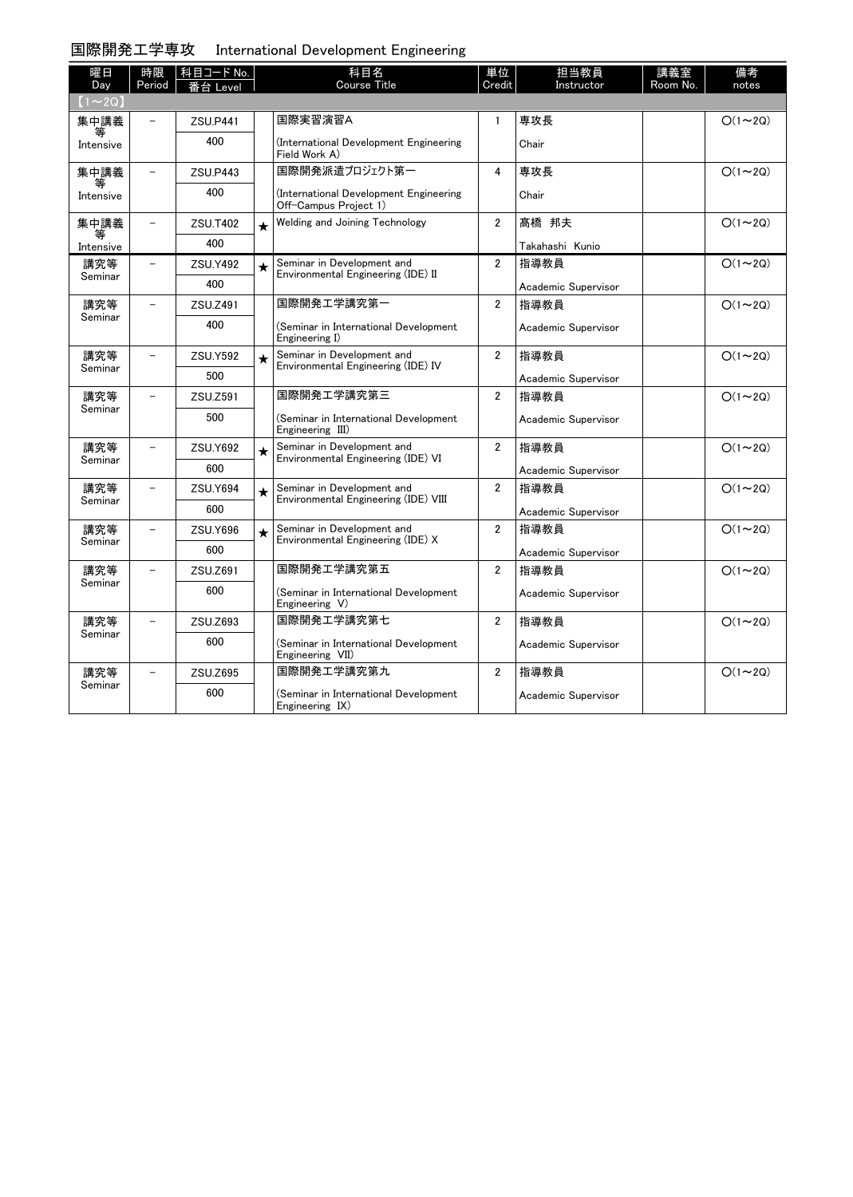## 国際開発工学専攻 International Development Engineering

| 曜日             | 時限                       | 科目コード No.       |         | 科目名                                                              | 単位                      | 担当教員                | 講義室      | 備考             |
|----------------|--------------------------|-----------------|---------|------------------------------------------------------------------|-------------------------|---------------------|----------|----------------|
| Day            | Period                   | 台 Level         |         | <b>Course Title</b>                                              | Credit                  | Instructor          | Room No. | notes          |
| $(1\sim 2Q)$   |                          |                 |         |                                                                  |                         |                     |          |                |
| 集中講義           |                          | ZSU, P441       |         | 国際実習演習A                                                          | $\mathbf{1}$            | 専攻長                 |          | $O(1\sim 2Q)$  |
| Intensive      |                          | 400             |         | (International Development Engineering<br>Field Work A)          |                         | Chair               |          |                |
| 集中講義           | $\overline{\phantom{0}}$ | <b>ZSU.P443</b> |         | 国際開発派遣プロジェクト第一                                                   | 4                       | 専攻長                 |          | $O(1\sim 2Q)$  |
| 等<br>Intensive |                          | 400             |         | (International Development Engineering<br>Off-Campus Project 1)  |                         | Chair               |          |                |
| 集中講義           | $\overline{\phantom{a}}$ | <b>ZSU.T402</b> | $\star$ | Welding and Joining Technology                                   | $\overline{2}$          | 髙橋 邦夫               |          | $O(1\sim 2Q)$  |
| 等<br>Intensive |                          | 400             |         |                                                                  |                         | Takahashi Kunio     |          |                |
| 講究等            |                          | <b>ZSU.Y492</b> | $\star$ | Seminar in Development and                                       | $\overline{2}$          | 指導教員                |          | $O(1\sim 2Q)$  |
| Seminar        |                          | 400             |         | Environmental Engineering (IDE) II                               |                         | Academic Supervisor |          |                |
| 講究等            |                          | ZSU.Z491        |         | 国際開発工学講究第一                                                       | $\overline{2}$          | 指導教員                |          | $O(1\sim 2Q)$  |
| Seminar        |                          | 400             |         | (Seminar in International Development<br>Engineering I)          |                         | Academic Supervisor |          |                |
| 講究等            |                          | <b>ZSU.Y592</b> | $\star$ | Seminar in Development and                                       | $\overline{2}$          | 指導教員                |          | $O(1\sim 2Q)$  |
| Seminar        |                          | 500             |         | Environmental Engineering (IDE) IV                               |                         | Academic Supervisor |          |                |
| 講究等            | $\equiv$                 | ZSU.Z591        |         | 国際開発工学講究第三                                                       | $\overline{2}$          | 指導教員                |          | $O(1\sim 2Q)$  |
| Seminar        |                          | 500             |         | (Seminar in International Development<br>Engineering III)        |                         | Academic Supervisor |          |                |
| 講究等            | $\overline{a}$           | <b>ZSU.Y692</b> | $\star$ | Seminar in Development and<br>Environmental Engineering (IDE) VI | $\overline{2}$          | 指導教員                |          | $O(1 \sim 2Q)$ |
| Seminar        |                          | 600             |         |                                                                  |                         | Academic Supervisor |          |                |
| 講究等            |                          | ZSU.Y694        | $\star$ | Seminar in Development and                                       | $\overline{2}$          | 指導教員                |          | $O(1\sim 2Q)$  |
| Seminar        |                          | 600             |         | Environmental Engineering (IDE) VIII                             |                         | Academic Supervisor |          |                |
| 講究等            |                          | <b>ZSU.Y696</b> | $\star$ | Seminar in Development and                                       | $\overline{\mathbf{2}}$ | 指導教員                |          | $O(1\sim 2Q)$  |
| Seminar        |                          | 600             |         | Environmental Engineering (IDE) X                                |                         | Academic Supervisor |          |                |
| 講究等            | $\overline{\phantom{0}}$ | ZSU.Z691        |         | 国際開発工学講究第五                                                       | $\overline{2}$          | 指導教員                |          | $O(1\sim 2Q)$  |
| Seminar        |                          | 600             |         | (Seminar in International Development<br>Engineering V)          |                         | Academic Supervisor |          |                |
| 講究等            | ÷.                       | ZSU.Z693        |         | 国際開発工学講究第七                                                       | $\overline{2}$          | 指導教員                |          | $O(1\sim 2Q)$  |
| Seminar        |                          | 600             |         | (Seminar in International Development<br>Engineering VII)        |                         | Academic Supervisor |          |                |
| 講究等            |                          | ZSU.Z695        |         | 国際開発工学講究第九                                                       | $\overline{2}$          | 指導教員                |          | $O(1\sim 2Q)$  |
| Seminar        |                          | 600             |         | (Seminar in International Development<br>Engineering IX)         |                         | Academic Supervisor |          |                |